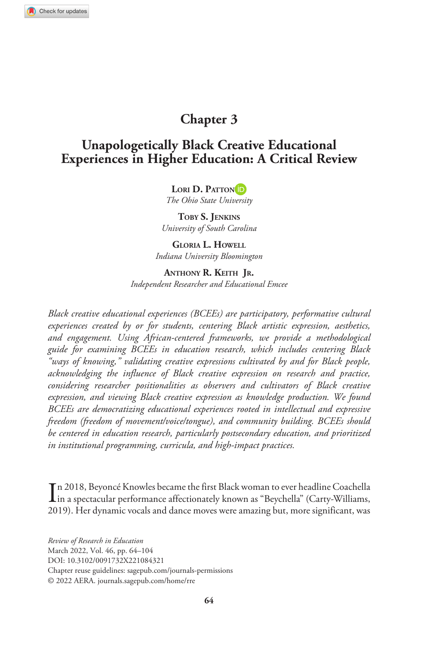# **Chapter 3**

# **Unapologetically Black Creative Educational Experiences in Higher Education: A Critical Review**

Lori D. Patton<sup>id</sup>

*The Ohio State University*

**Toby S. Jenkins** *University of South Carolina*

**Gloria L. Howell** *Indiana University Bloomington*

**Anthony R. Keith Jr.**  *Independent Researcher and Educational Emcee*

*Black creative educational experiences (BCEEs) are participatory, performative cultural experiences created by or for students, centering Black artistic expression, aesthetics, and engagement. Using African-centered frameworks, we provide a methodological guide for examining BCEEs in education research, which includes centering Black "ways of knowing," validating creative expressions cultivated by and for Black people, acknowledging the influence of Black creative expression on research and practice, considering researcher positionalities as observers and cultivators of Black creative expression, and viewing Black creative expression as knowledge production. We found BCEEs are democratizing educational experiences rooted in intellectual and expressive freedom (freedom of movement/voice/tongue), and community building. BCEEs should be centered in education research, particularly postsecondary education, and prioritized in institutional programming, curricula, and high-impact practices.*

In 2018, Beyoncé Knowles became the first Black woman to ever headline Coachella<br>in a spectacular performance affectionately known as "Beychella" (Carty-Williams, in a spectacular performance affectionately known as "Beychella" (Carty-Williams, 2019). Her dynamic vocals and dance moves were amazing but, more significant, was

https://doi.org/10.3102/0091732X221084321 DOI: 10.3102/0091732X221084321 *Review of Research in Education* March 2022, Vol. 46, pp. 64–104 Chapter reuse guidelines: [sagepub.com/journals-permissions](https://us.sagepub.com/en-us/journals-permissions) © 2022 AERA. [journals.sagepub.com/home/rre](http://journals.sagepub.com/home/rre)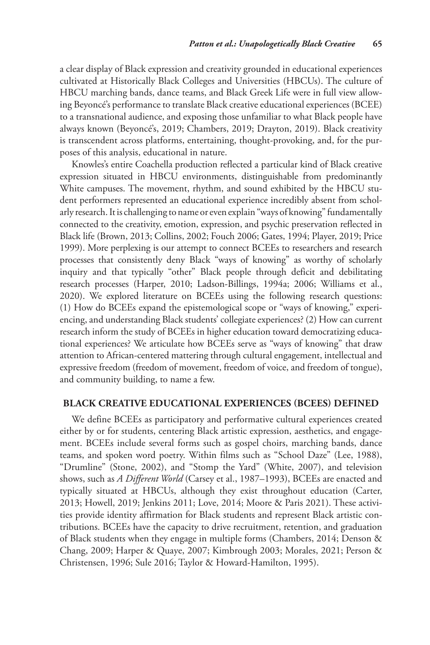a clear display of Black expression and creativity grounded in educational experiences cultivated at Historically Black Colleges and Universities (HBCUs). The culture of HBCU marching bands, dance teams, and Black Greek Life were in full view allowing Beyoncé's performance to translate Black creative educational experiences (BCEE) to a transnational audience, and exposing those unfamiliar to what Black people have always known (Beyoncé's, 2019; Chambers, 2019; Drayton, 2019). Black creativity is transcendent across platforms, entertaining, thought-provoking, and, for the purposes of this analysis, educational in nature.

Knowles's entire Coachella production reflected a particular kind of Black creative expression situated in HBCU environments, distinguishable from predominantly White campuses. The movement, rhythm, and sound exhibited by the HBCU student performers represented an educational experience incredibly absent from scholarly research. It is challenging to name or even explain "ways of knowing" fundamentally connected to the creativity, emotion, expression, and psychic preservation reflected in Black life (Brown, 2013; Collins, 2002; Fouch 2006; Gates, 1994; Player, 2019; Price 1999). More perplexing is our attempt to connect BCEEs to researchers and research processes that consistently deny Black "ways of knowing" as worthy of scholarly inquiry and that typically "other" Black people through deficit and debilitating research processes (Harper, 2010; Ladson-Billings, 1994a; 2006; Williams et al., 2020). We explored literature on BCEEs using the following research questions: (1) How do BCEEs expand the epistemological scope or "ways of knowing," experiencing, and understanding Black students' collegiate experiences? (2) How can current research inform the study of BCEEs in higher education toward democratizing educational experiences? We articulate how BCEEs serve as "ways of knowing" that draw attention to African-centered mattering through cultural engagement, intellectual and expressive freedom (freedom of movement, freedom of voice, and freedom of tongue), and community building, to name a few.

# **Black Creative Educational Experiences (BCEEs) Defined**

We define BCEEs as participatory and performative cultural experiences created either by or for students, centering Black artistic expression, aesthetics, and engagement. BCEEs include several forms such as gospel choirs, marching bands, dance teams, and spoken word poetry. Within films such as "School Daze" (Lee, 1988), "Drumline" (Stone, 2002), and "Stomp the Yard" (White, 2007), and television shows, such as *A Different World* (Carsey et al., 1987–1993), BCEEs are enacted and typically situated at HBCUs, although they exist throughout education (Carter, 2013; Howell, 2019; Jenkins 2011; Love, 2014; Moore & Paris 2021). These activities provide identity affirmation for Black students and represent Black artistic contributions. BCEEs have the capacity to drive recruitment, retention, and graduation of Black students when they engage in multiple forms (Chambers, 2014; Denson & Chang, 2009; Harper & Quaye, 2007; Kimbrough 2003; Morales, 2021; Person & Christensen, 1996; Sule 2016; Taylor & Howard-Hamilton, 1995).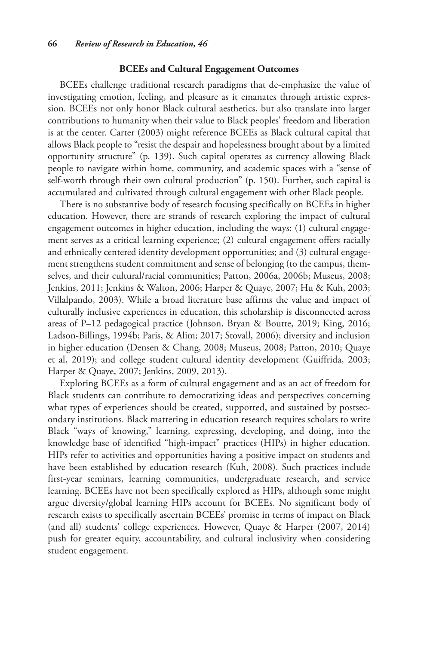### **BCEEs and Cultural Engagement Outcomes**

BCEEs challenge traditional research paradigms that de-emphasize the value of investigating emotion, feeling, and pleasure as it emanates through artistic expression. BCEEs not only honor Black cultural aesthetics, but also translate into larger contributions to humanity when their value to Black peoples' freedom and liberation is at the center. Carter (2003) might reference BCEEs as Black cultural capital that allows Black people to "resist the despair and hopelessness brought about by a limited opportunity structure" (p. 139). Such capital operates as currency allowing Black people to navigate within home, community, and academic spaces with a "sense of self-worth through their own cultural production" (p. 150). Further, such capital is accumulated and cultivated through cultural engagement with other Black people.

There is no substantive body of research focusing specifically on BCEEs in higher education. However, there are strands of research exploring the impact of cultural engagement outcomes in higher education, including the ways: (1) cultural engagement serves as a critical learning experience; (2) cultural engagement offers racially and ethnically centered identity development opportunities; and (3) cultural engagement strengthens student commitment and sense of belonging (to the campus, themselves, and their cultural/racial communities; Patton, 2006a, 2006b; Museus, 2008; Jenkins, 2011; Jenkins & Walton, 2006; Harper & Quaye, 2007; Hu & Kuh, 2003; Villalpando, 2003). While a broad literature base affirms the value and impact of culturally inclusive experiences in education, this scholarship is disconnected across areas of P–12 pedagogical practice (Johnson, Bryan & Boutte, 2019; King, 2016; Ladson-Billings, 1994b; Paris, & Alim; 2017; Stovall, 2006); diversity and inclusion in higher education (Densen & Chang, 2008; Museus, 2008; Patton, 2010; Quaye et al, 2019); and college student cultural identity development (Guiffrida, 2003; Harper & Quaye, 2007; Jenkins, 2009, 2013).

Exploring BCEEs as a form of cultural engagement and as an act of freedom for Black students can contribute to democratizing ideas and perspectives concerning what types of experiences should be created, supported, and sustained by postsecondary institutions. Black mattering in education research requires scholars to write Black "ways of knowing," learning, expressing, developing, and doing, into the knowledge base of identified "high-impact" practices (HIPs) in higher education. HIPs refer to activities and opportunities having a positive impact on students and have been established by education research (Kuh, 2008). Such practices include first-year seminars, learning communities, undergraduate research, and service learning. BCEEs have not been specifically explored as HIPs, although some might argue diversity/global learning HIPs account for BCEEs. No significant body of research exists to specifically ascertain BCEEs' promise in terms of impact on Black (and all) students' college experiences. However, Quaye & Harper (2007, 2014) push for greater equity, accountability, and cultural inclusivity when considering student engagement.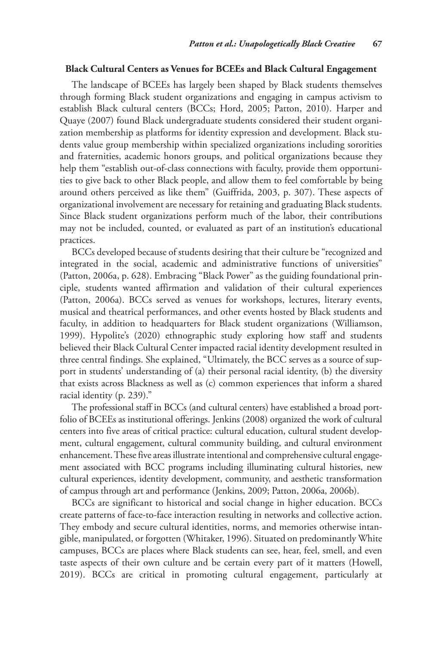#### **Black Cultural Centers as Venues for BCEEs and Black Cultural Engagement**

The landscape of BCEEs has largely been shaped by Black students themselves through forming Black student organizations and engaging in campus activism to establish Black cultural centers (BCCs; Hord, 2005; Patton, 2010). Harper and Quaye (2007) found Black undergraduate students considered their student organization membership as platforms for identity expression and development. Black students value group membership within specialized organizations including sororities and fraternities, academic honors groups, and political organizations because they help them "establish out-of-class connections with faculty, provide them opportunities to give back to other Black people, and allow them to feel comfortable by being around others perceived as like them" (Guiffrida, 2003, p. 307). These aspects of organizational involvement are necessary for retaining and graduating Black students. Since Black student organizations perform much of the labor, their contributions may not be included, counted, or evaluated as part of an institution's educational practices.

BCCs developed because of students desiring that their culture be "recognized and integrated in the social, academic and administrative functions of universities" (Patton, 2006a, p. 628). Embracing "Black Power" as the guiding foundational principle, students wanted affirmation and validation of their cultural experiences (Patton, 2006a). BCCs served as venues for workshops, lectures, literary events, musical and theatrical performances, and other events hosted by Black students and faculty, in addition to headquarters for Black student organizations (Williamson, 1999). Hypolite's (2020) ethnographic study exploring how staff and students believed their Black Cultural Center impacted racial identity development resulted in three central findings. She explained, "Ultimately, the BCC serves as a source of support in students' understanding of (a) their personal racial identity, (b) the diversity that exists across Blackness as well as (c) common experiences that inform a shared racial identity (p. 239)."

The professional staff in BCCs (and cultural centers) have established a broad portfolio of BCEEs as institutional offerings. Jenkins (2008) organized the work of cultural centers into five areas of critical practice: cultural education, cultural student development, cultural engagement, cultural community building, and cultural environment enhancement. These five areas illustrate intentional and comprehensive cultural engagement associated with BCC programs including illuminating cultural histories, new cultural experiences, identity development, community, and aesthetic transformation of campus through art and performance (Jenkins, 2009; Patton, 2006a, 2006b).

BCCs are significant to historical and social change in higher education. BCCs create patterns of face-to-face interaction resulting in networks and collective action. They embody and secure cultural identities, norms, and memories otherwise intangible, manipulated, or forgotten (Whitaker, 1996). Situated on predominantly White campuses, BCCs are places where Black students can see, hear, feel, smell, and even taste aspects of their own culture and be certain every part of it matters (Howell, 2019). BCCs are critical in promoting cultural engagement, particularly at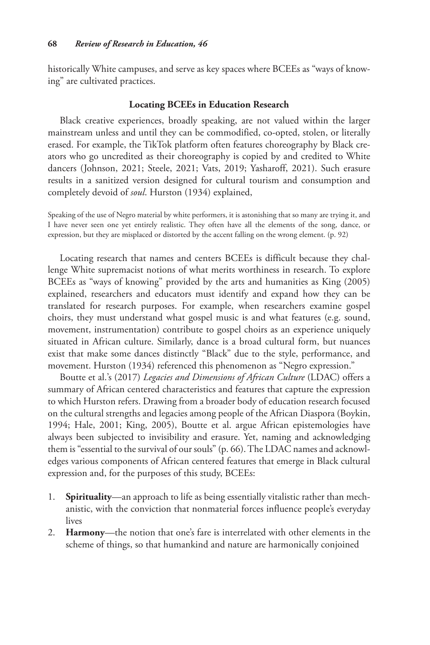historically White campuses, and serve as key spaces where BCEEs as "ways of knowing" are cultivated practices.

# **Locating BCEEs in Education Research**

Black creative experiences, broadly speaking, are not valued within the larger mainstream unless and until they can be commodified, co-opted, stolen, or literally erased. For example, the TikTok platform often features choreography by Black creators who go uncredited as their choreography is copied by and credited to White dancers (Johnson, 2021; Steele, 2021; Vats, 2019; Yasharoff, 2021). Such erasure results in a sanitized version designed for cultural tourism and consumption and completely devoid of *soul*. Hurston (1934) explained,

Speaking of the use of Negro material by white performers, it is astonishing that so many are trying it, and I have never seen one yet entirely realistic. They often have all the elements of the song, dance, or expression, but they are misplaced or distorted by the accent falling on the wrong element. (p. 92)

Locating research that names and centers BCEEs is difficult because they challenge White supremacist notions of what merits worthiness in research. To explore BCEEs as "ways of knowing" provided by the arts and humanities as King (2005) explained, researchers and educators must identify and expand how they can be translated for research purposes. For example, when researchers examine gospel choirs, they must understand what gospel music is and what features (e.g. sound, movement, instrumentation) contribute to gospel choirs as an experience uniquely situated in African culture. Similarly, dance is a broad cultural form, but nuances exist that make some dances distinctly "Black" due to the style, performance, and movement. Hurston (1934) referenced this phenomenon as "Negro expression."

Boutte et al.'s (2017) *Legacies and Dimensions of African Culture* (LDAC) offers a summary of African centered characteristics and features that capture the expression to which Hurston refers. Drawing from a broader body of education research focused on the cultural strengths and legacies among people of the African Diaspora (Boykin, 1994; Hale, 2001; King, 2005), Boutte et al. argue African epistemologies have always been subjected to invisibility and erasure. Yet, naming and acknowledging them is "essential to the survival of our souls" (p. 66). The LDAC names and acknowledges various components of African centered features that emerge in Black cultural expression and, for the purposes of this study, BCEEs:

- 1. **Spirituality**—an approach to life as being essentially vitalistic rather than mechanistic, with the conviction that nonmaterial forces influence people's everyday lives
- 2. **Harmony**—the notion that one's fare is interrelated with other elements in the scheme of things, so that humankind and nature are harmonically conjoined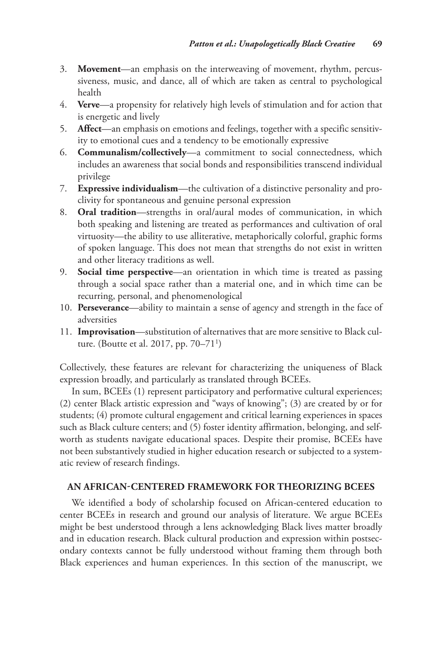- 3. **Movement**—an emphasis on the interweaving of movement, rhythm, percussiveness, music, and dance, all of which are taken as central to psychological health
- 4. **Verve**—a propensity for relatively high levels of stimulation and for action that is energetic and lively
- 5. **Affect**—an emphasis on emotions and feelings, together with a specific sensitivity to emotional cues and a tendency to be emotionally expressive
- 6. **Communalism/collectively**—a commitment to social connectedness, which includes an awareness that social bonds and responsibilities transcend individual privilege
- 7. **Expressive individualism**—the cultivation of a distinctive personality and proclivity for spontaneous and genuine personal expression
- 8. **Oral tradition**—strengths in oral/aural modes of communication, in which both speaking and listening are treated as performances and cultivation of oral virtuosity—the ability to use alliterative, metaphorically colorful, graphic forms of spoken language. This does not mean that strengths do not exist in written and other literacy traditions as well.
- 9. **Social time perspective**—an orientation in which time is treated as passing through a social space rather than a material one, and in which time can be recurring, personal, and phenomenological
- 10. **Perseverance**—ability to maintain a sense of agency and strength in the face of adversities
- 11. **Improvisation**—substitution of alternatives that are more sensitive to Black culture. (Boutte et al. 2017, pp. 70–711)

Collectively, these features are relevant for characterizing the uniqueness of Black expression broadly, and particularly as translated through BCEEs.

In sum, BCEEs (1) represent participatory and performative cultural experiences; (2) center Black artistic expression and "ways of knowing"; (3) are created by or for students; (4) promote cultural engagement and critical learning experiences in spaces such as Black culture centers; and (5) foster identity affirmation, belonging, and selfworth as students navigate educational spaces. Despite their promise, BCEEs have not been substantively studied in higher education research or subjected to a systematic review of research findings.

# **An African-Centered Framework for Theorizing BCEEs**

We identified a body of scholarship focused on African-centered education to center BCEEs in research and ground our analysis of literature. We argue BCEEs might be best understood through a lens acknowledging Black lives matter broadly and in education research. Black cultural production and expression within postsecondary contexts cannot be fully understood without framing them through both Black experiences and human experiences. In this section of the manuscript, we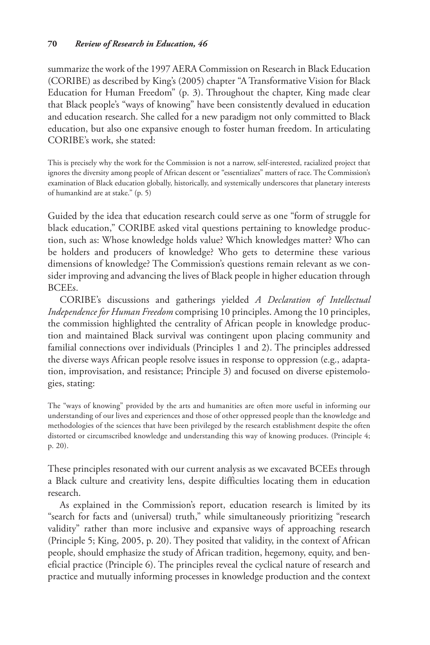summarize the work of the 1997 AERA Commission on Research in Black Education (CORIBE) as described by King's (2005) chapter "A Transformative Vision for Black Education for Human Freedom" (p. 3). Throughout the chapter, King made clear that Black people's "ways of knowing" have been consistently devalued in education and education research. She called for a new paradigm not only committed to Black education, but also one expansive enough to foster human freedom. In articulating CORIBE's work, she stated:

This is precisely why the work for the Commission is not a narrow, self-interested, racialized project that ignores the diversity among people of African descent or "essentializes" matters of race. The Commission's examination of Black education globally, historically, and systemically underscores that planetary interests of humankind are at stake." (p. 5)

Guided by the idea that education research could serve as one "form of struggle for black education," CORIBE asked vital questions pertaining to knowledge production, such as: Whose knowledge holds value? Which knowledges matter? Who can be holders and producers of knowledge? Who gets to determine these various dimensions of knowledge? The Commission's questions remain relevant as we consider improving and advancing the lives of Black people in higher education through BCEEs.

CORIBE's discussions and gatherings yielded *A Declaration of Intellectual Independence for Human Freedom* comprising 10 principles. Among the 10 principles, the commission highlighted the centrality of African people in knowledge production and maintained Black survival was contingent upon placing community and familial connections over individuals (Principles 1 and 2). The principles addressed the diverse ways African people resolve issues in response to oppression (e.g., adaptation, improvisation, and resistance; Principle 3) and focused on diverse epistemologies, stating:

The "ways of knowing" provided by the arts and humanities are often more useful in informing our understanding of our lives and experiences and those of other oppressed people than the knowledge and methodologies of the sciences that have been privileged by the research establishment despite the often distorted or circumscribed knowledge and understanding this way of knowing produces. (Principle 4; p. 20).

These principles resonated with our current analysis as we excavated BCEEs through a Black culture and creativity lens, despite difficulties locating them in education research.

As explained in the Commission's report, education research is limited by its "search for facts and (universal) truth," while simultaneously prioritizing "research validity" rather than more inclusive and expansive ways of approaching research (Principle 5; King, 2005, p. 20). They posited that validity, in the context of African people, should emphasize the study of African tradition, hegemony, equity, and beneficial practice (Principle 6). The principles reveal the cyclical nature of research and practice and mutually informing processes in knowledge production and the context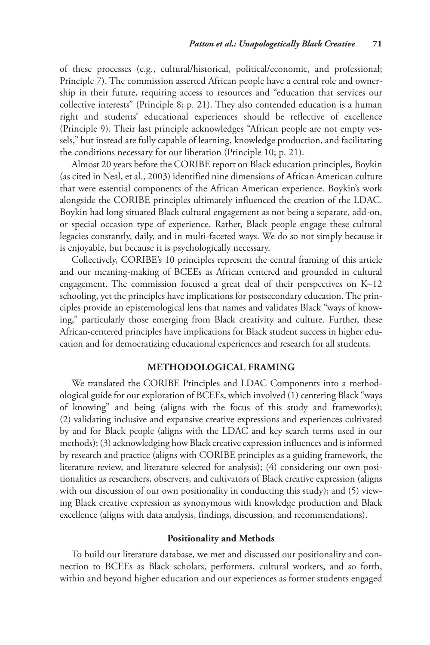of these processes (e.g., cultural/historical, political/economic, and professional; Principle 7). The commission asserted African people have a central role and ownership in their future, requiring access to resources and "education that services our collective interests" (Principle 8; p. 21). They also contended education is a human right and students' educational experiences should be reflective of excellence (Principle 9). Their last principle acknowledges "African people are not empty vessels," but instead are fully capable of learning, knowledge production, and facilitating the conditions necessary for our liberation (Principle 10; p. 21).

Almost 20 years before the CORIBE report on Black education principles, Boykin (as cited in Neal, et al., 2003) identified nine dimensions of African American culture that were essential components of the African American experience. Boykin's work alongside the CORIBE principles ultimately influenced the creation of the LDAC. Boykin had long situated Black cultural engagement as not being a separate, add-on, or special occasion type of experience. Rather, Black people engage these cultural legacies constantly, daily, and in multi-faceted ways. We do so not simply because it is enjoyable, but because it is psychologically necessary.

Collectively, CORIBE's 10 principles represent the central framing of this article and our meaning-making of BCEEs as African centered and grounded in cultural engagement. The commission focused a great deal of their perspectives on K–12 schooling, yet the principles have implications for postsecondary education. The principles provide an epistemological lens that names and validates Black "ways of knowing," particularly those emerging from Black creativity and culture. Further, these African-centered principles have implications for Black student success in higher education and for democratizing educational experiences and research for all students.

# **Methodological Framing**

We translated the CORIBE Principles and LDAC Components into a methodological guide for our exploration of BCEEs, which involved (1) centering Black "ways of knowing" and being (aligns with the focus of this study and frameworks); (2) validating inclusive and expansive creative expressions and experiences cultivated by and for Black people (aligns with the LDAC and key search terms used in our methods); (3) acknowledging how Black creative expression influences and is informed by research and practice (aligns with CORIBE principles as a guiding framework, the literature review, and literature selected for analysis); (4) considering our own positionalities as researchers, observers, and cultivators of Black creative expression (aligns with our discussion of our own positionality in conducting this study); and (5) viewing Black creative expression as synonymous with knowledge production and Black excellence (aligns with data analysis, findings, discussion, and recommendations).

#### **Positionality and Methods**

To build our literature database, we met and discussed our positionality and connection to BCEEs as Black scholars, performers, cultural workers, and so forth, within and beyond higher education and our experiences as former students engaged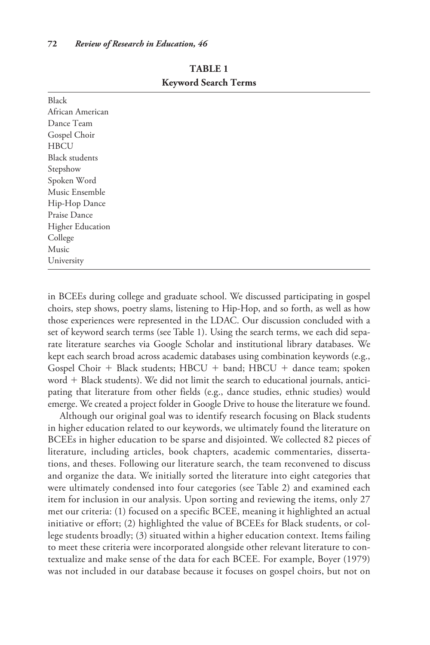| Black                   |  |
|-------------------------|--|
| African American        |  |
| Dance Team              |  |
| Gospel Choir            |  |
| <b>HBCU</b>             |  |
| <b>Black students</b>   |  |
| Stepshow                |  |
| Spoken Word             |  |
| Music Ensemble          |  |
| Hip-Hop Dance           |  |
| Praise Dance            |  |
| <b>Higher Education</b> |  |
| College                 |  |
| Music                   |  |
| University              |  |
|                         |  |

**Table 1 Keyword Search Terms**

in BCEEs during college and graduate school. We discussed participating in gospel choirs, step shows, poetry slams, listening to Hip-Hop, and so forth, as well as how those experiences were represented in the LDAC. Our discussion concluded with a set of keyword search terms (see Table 1). Using the search terms, we each did separate literature searches via Google Scholar and institutional library databases. We kept each search broad across academic databases using combination keywords (e.g., Gospel Choir + Black students; HBCU + band; HBCU + dance team; spoken word + Black students). We did not limit the search to educational journals, anticipating that literature from other fields (e.g., dance studies, ethnic studies) would emerge. We created a project folder in Google Drive to house the literature we found.

Although our original goal was to identify research focusing on Black students in higher education related to our keywords, we ultimately found the literature on BCEEs in higher education to be sparse and disjointed. We collected 82 pieces of literature, including articles, book chapters, academic commentaries, dissertations, and theses. Following our literature search, the team reconvened to discuss and organize the data. We initially sorted the literature into eight categories that were ultimately condensed into four categories (see Table 2) and examined each item for inclusion in our analysis. Upon sorting and reviewing the items, only 27 met our criteria: (1) focused on a specific BCEE, meaning it highlighted an actual initiative or effort; (2) highlighted the value of BCEEs for Black students, or college students broadly; (3) situated within a higher education context. Items failing to meet these criteria were incorporated alongside other relevant literature to contextualize and make sense of the data for each BCEE. For example, Boyer (1979) was not included in our database because it focuses on gospel choirs, but not on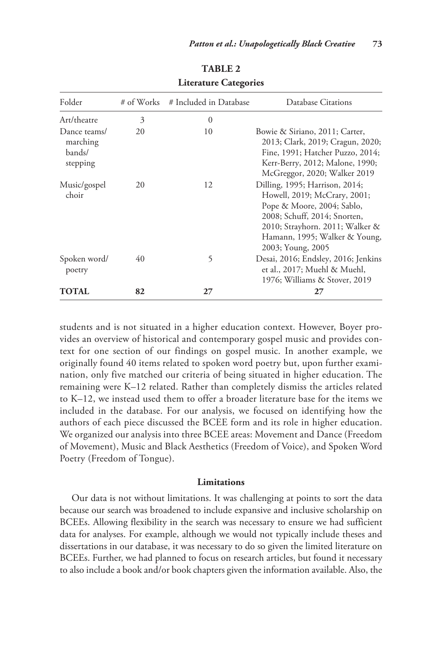| Folder                                         | # of Works | # Included in Database | Database Citations                                                                                                                                                                                                    |
|------------------------------------------------|------------|------------------------|-----------------------------------------------------------------------------------------------------------------------------------------------------------------------------------------------------------------------|
| Art/theatre                                    | 3          | $\Omega$               |                                                                                                                                                                                                                       |
| Dance teams/<br>marching<br>bands/<br>stepping | 20         | 10                     | Bowie & Siriano, 2011; Carter,<br>2013; Clark, 2019; Cragun, 2020;<br>Fine, 1991; Hatcher Puzzo, 2014;<br>Kerr-Berry, 2012; Malone, 1990;<br>McGreggor, 2020; Walker 2019                                             |
| Music/gospel<br>choir                          | 20         | 12                     | Dilling, 1995; Harrison, 2014;<br>Howell, 2019; McCrary, 2001;<br>Pope & Moore, 2004; Sablo,<br>2008; Schuff, 2014; Snorten,<br>2010; Strayhorn. 2011; Walker &<br>Hamann, 1995; Walker & Young,<br>2003; Young, 2005 |
| Spoken word/<br>poetry                         | 40         | 5                      | Desai, 2016; Endsley, 2016; Jenkins<br>et al., 2017; Muehl & Muehl,<br>1976; Williams & Stover, 2019                                                                                                                  |
| TOTAL                                          | 82         | 27                     | 27                                                                                                                                                                                                                    |

**Table 2 Literature Categories**

students and is not situated in a higher education context. However, Boyer provides an overview of historical and contemporary gospel music and provides context for one section of our findings on gospel music. In another example, we originally found 40 items related to spoken word poetry but, upon further examination, only five matched our criteria of being situated in higher education. The remaining were K–12 related. Rather than completely dismiss the articles related to K–12, we instead used them to offer a broader literature base for the items we included in the database. For our analysis, we focused on identifying how the authors of each piece discussed the BCEE form and its role in higher education. We organized our analysis into three BCEE areas: Movement and Dance (Freedom of Movement), Music and Black Aesthetics (Freedom of Voice), and Spoken Word Poetry (Freedom of Tongue).

# **Limitations**

Our data is not without limitations. It was challenging at points to sort the data because our search was broadened to include expansive and inclusive scholarship on BCEEs. Allowing flexibility in the search was necessary to ensure we had sufficient data for analyses. For example, although we would not typically include theses and dissertations in our database, it was necessary to do so given the limited literature on BCEEs. Further, we had planned to focus on research articles, but found it necessary to also include a book and/or book chapters given the information available. Also, the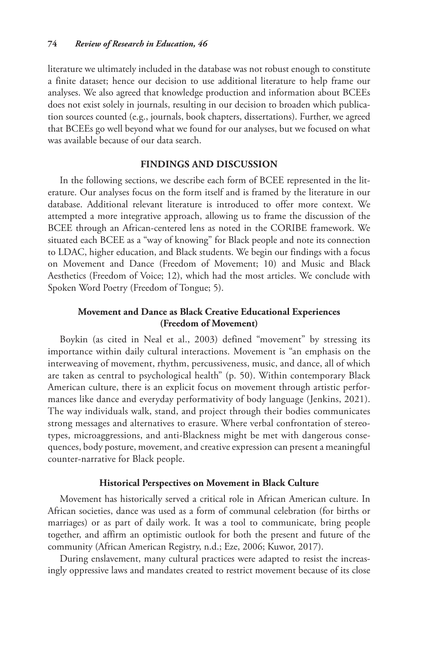literature we ultimately included in the database was not robust enough to constitute a finite dataset; hence our decision to use additional literature to help frame our analyses. We also agreed that knowledge production and information about BCEEs does not exist solely in journals, resulting in our decision to broaden which publication sources counted (e.g., journals, book chapters, dissertations). Further, we agreed that BCEEs go well beyond what we found for our analyses, but we focused on what was available because of our data search.

# **Findings and Discussion**

In the following sections, we describe each form of BCEE represented in the literature. Our analyses focus on the form itself and is framed by the literature in our database. Additional relevant literature is introduced to offer more context. We attempted a more integrative approach, allowing us to frame the discussion of the BCEE through an African-centered lens as noted in the CORIBE framework. We situated each BCEE as a "way of knowing" for Black people and note its connection to LDAC, higher education, and Black students. We begin our findings with a focus on Movement and Dance (Freedom of Movement; 10) and Music and Black Aesthetics (Freedom of Voice; 12), which had the most articles. We conclude with Spoken Word Poetry (Freedom of Tongue; 5).

# **Movement and Dance as Black Creative Educational Experiences (Freedom of Movement)**

Boykin (as cited in Neal et al., 2003) defined "movement" by stressing its importance within daily cultural interactions. Movement is "an emphasis on the interweaving of movement, rhythm, percussiveness, music, and dance, all of which are taken as central to psychological health" (p. 50). Within contemporary Black American culture, there is an explicit focus on movement through artistic performances like dance and everyday performativity of body language (Jenkins, 2021). The way individuals walk, stand, and project through their bodies communicates strong messages and alternatives to erasure. Where verbal confrontation of stereotypes, microaggressions, and anti-Blackness might be met with dangerous consequences, body posture, movement, and creative expression can present a meaningful counter-narrative for Black people.

# **Historical Perspectives on Movement in Black Culture**

Movement has historically served a critical role in African American culture. In African societies, dance was used as a form of communal celebration (for births or marriages) or as part of daily work. It was a tool to communicate, bring people together, and affirm an optimistic outlook for both the present and future of the community (African American Registry, n.d.; Eze, 2006; Kuwor, 2017).

During enslavement, many cultural practices were adapted to resist the increasingly oppressive laws and mandates created to restrict movement because of its close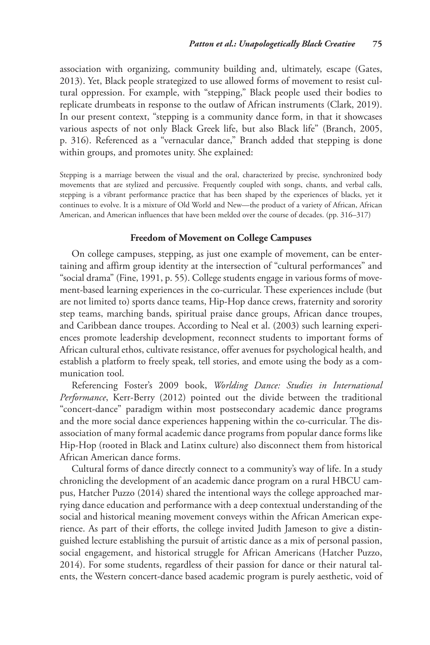association with organizing, community building and, ultimately, escape (Gates, 2013). Yet, Black people strategized to use allowed forms of movement to resist cultural oppression. For example, with "stepping," Black people used their bodies to replicate drumbeats in response to the outlaw of African instruments (Clark, 2019). In our present context, "stepping is a community dance form, in that it showcases various aspects of not only Black Greek life, but also Black life" (Branch, 2005, p. 316). Referenced as a "vernacular dance," Branch added that stepping is done within groups, and promotes unity. She explained:

Stepping is a marriage between the visual and the oral, characterized by precise, synchronized body movements that are stylized and percussive. Frequently coupled with songs, chants, and verbal calls, stepping is a vibrant performance practice that has been shaped by the experiences of blacks, yet it continues to evolve. It is a mixture of Old World and New—the product of a variety of African, African American, and American influences that have been melded over the course of decades. (pp. 316–317)

# **Freedom of Movement on College Campuses**

On college campuses, stepping, as just one example of movement, can be entertaining and affirm group identity at the intersection of "cultural performances" and "social drama" (Fine, 1991, p. 55). College students engage in various forms of movement-based learning experiences in the co-curricular. These experiences include (but are not limited to) sports dance teams, Hip-Hop dance crews, fraternity and sorority step teams, marching bands, spiritual praise dance groups, African dance troupes, and Caribbean dance troupes. According to Neal et al. (2003) such learning experiences promote leadership development, reconnect students to important forms of African cultural ethos, cultivate resistance, offer avenues for psychological health, and establish a platform to freely speak, tell stories, and emote using the body as a communication tool.

Referencing Foster's 2009 book, *Worlding Dance: Studies in International Performance*, Kerr-Berry (2012) pointed out the divide between the traditional "concert-dance" paradigm within most postsecondary academic dance programs and the more social dance experiences happening within the co-curricular. The disassociation of many formal academic dance programs from popular dance forms like Hip-Hop (rooted in Black and Latinx culture) also disconnect them from historical African American dance forms.

Cultural forms of dance directly connect to a community's way of life. In a study chronicling the development of an academic dance program on a rural HBCU campus, Hatcher Puzzo (2014) shared the intentional ways the college approached marrying dance education and performance with a deep contextual understanding of the social and historical meaning movement conveys within the African American experience. As part of their efforts, the college invited Judith Jameson to give a distinguished lecture establishing the pursuit of artistic dance as a mix of personal passion, social engagement, and historical struggle for African Americans (Hatcher Puzzo, 2014). For some students, regardless of their passion for dance or their natural talents, the Western concert-dance based academic program is purely aesthetic, void of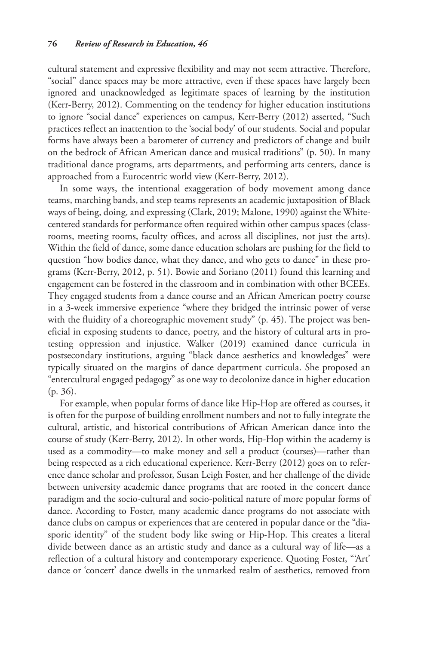cultural statement and expressive flexibility and may not seem attractive. Therefore, "social" dance spaces may be more attractive, even if these spaces have largely been ignored and unacknowledged as legitimate spaces of learning by the institution (Kerr-Berry, 2012). Commenting on the tendency for higher education institutions to ignore "social dance" experiences on campus, Kerr-Berry (2012) asserted, "Such practices reflect an inattention to the 'social body' of our students. Social and popular forms have always been a barometer of currency and predictors of change and built on the bedrock of African American dance and musical traditions" (p. 50). In many traditional dance programs, arts departments, and performing arts centers, dance is approached from a Eurocentric world view (Kerr-Berry, 2012).

In some ways, the intentional exaggeration of body movement among dance teams, marching bands, and step teams represents an academic juxtaposition of Black ways of being, doing, and expressing (Clark, 2019; Malone, 1990) against the Whitecentered standards for performance often required within other campus spaces (classrooms, meeting rooms, faculty offices, and across all disciplines, not just the arts). Within the field of dance, some dance education scholars are pushing for the field to question "how bodies dance, what they dance, and who gets to dance" in these programs (Kerr-Berry, 2012, p. 51). Bowie and Soriano (2011) found this learning and engagement can be fostered in the classroom and in combination with other BCEEs. They engaged students from a dance course and an African American poetry course in a 3-week immersive experience "where they bridged the intrinsic power of verse with the fluidity of a choreographic movement study" (p. 45). The project was beneficial in exposing students to dance, poetry, and the history of cultural arts in protesting oppression and injustice. Walker (2019) examined dance curricula in postsecondary institutions, arguing "black dance aesthetics and knowledges" were typically situated on the margins of dance department curricula. She proposed an "entercultural engaged pedagogy" as one way to decolonize dance in higher education (p. 36).

For example, when popular forms of dance like Hip-Hop are offered as courses, it is often for the purpose of building enrollment numbers and not to fully integrate the cultural, artistic, and historical contributions of African American dance into the course of study (Kerr-Berry, 2012). In other words, Hip-Hop within the academy is used as a commodity—to make money and sell a product (courses)—rather than being respected as a rich educational experience. Kerr-Berry (2012) goes on to reference dance scholar and professor, Susan Leigh Foster, and her challenge of the divide between university academic dance programs that are rooted in the concert dance paradigm and the socio-cultural and socio-political nature of more popular forms of dance. According to Foster, many academic dance programs do not associate with dance clubs on campus or experiences that are centered in popular dance or the "diasporic identity" of the student body like swing or Hip-Hop. This creates a literal divide between dance as an artistic study and dance as a cultural way of life—as a reflection of a cultural history and contemporary experience. Quoting Foster, "'Art' dance or 'concert' dance dwells in the unmarked realm of aesthetics, removed from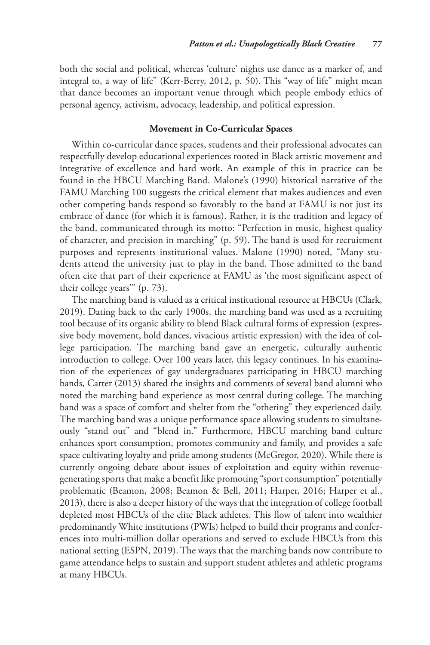both the social and political, whereas 'culture' nights use dance as a marker of, and integral to, a way of life" (Kerr-Berry, 2012, p. 50). This "way of life" might mean that dance becomes an important venue through which people embody ethics of personal agency, activism, advocacy, leadership, and political expression.

#### **Movement in Co-Curricular Spaces**

Within co-curricular dance spaces, students and their professional advocates can respectfully develop educational experiences rooted in Black artistic movement and integrative of excellence and hard work. An example of this in practice can be found in the HBCU Marching Band. Malone's (1990) historical narrative of the FAMU Marching 100 suggests the critical element that makes audiences and even other competing bands respond so favorably to the band at FAMU is not just its embrace of dance (for which it is famous). Rather, it is the tradition and legacy of the band, communicated through its motto: "Perfection in music, highest quality of character, and precision in marching" (p. 59). The band is used for recruitment purposes and represents institutional values. Malone (1990) noted, "Many students attend the university just to play in the band. Those admitted to the band often cite that part of their experience at FAMU as 'the most significant aspect of their college years'" (p. 73).

The marching band is valued as a critical institutional resource at HBCUs (Clark, 2019). Dating back to the early 1900s, the marching band was used as a recruiting tool because of its organic ability to blend Black cultural forms of expression (expressive body movement, bold dances, vivacious artistic expression) with the idea of college participation. The marching band gave an energetic, culturally authentic introduction to college. Over 100 years later, this legacy continues. In his examination of the experiences of gay undergraduates participating in HBCU marching bands, Carter (2013) shared the insights and comments of several band alumni who noted the marching band experience as most central during college. The marching band was a space of comfort and shelter from the "othering" they experienced daily. The marching band was a unique performance space allowing students to simultaneously "stand out" and "blend in." Furthermore, HBCU marching band culture enhances sport consumption, promotes community and family, and provides a safe space cultivating loyalty and pride among students (McGregor, 2020). While there is currently ongoing debate about issues of exploitation and equity within revenuegenerating sports that make a benefit like promoting "sport consumption" potentially problematic (Beamon, 2008; Beamon & Bell, 2011; Harper, 2016; Harper et al., 2013), there is also a deeper history of the ways that the integration of college football depleted most HBCUs of the elite Black athletes. This flow of talent into wealthier predominantly White institutions (PWIs) helped to build their programs and conferences into multi-million dollar operations and served to exclude HBCUs from this national setting (ESPN, 2019). The ways that the marching bands now contribute to game attendance helps to sustain and support student athletes and athletic programs at many HBCUs.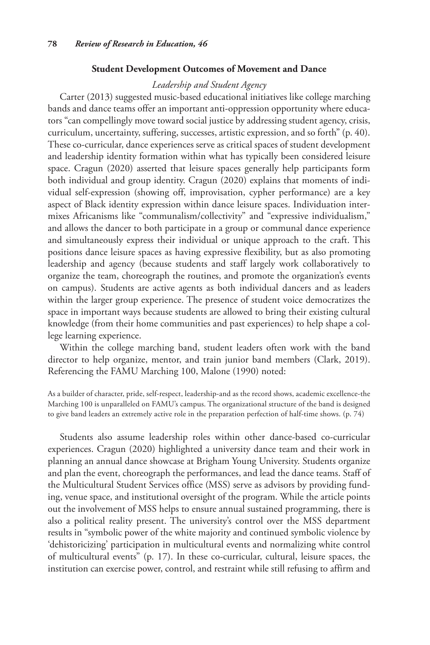## **Student Development Outcomes of Movement and Dance**

# *Leadership and Student Agency*

Carter (2013) suggested music-based educational initiatives like college marching bands and dance teams offer an important anti-oppression opportunity where educators "can compellingly move toward social justice by addressing student agency, crisis, curriculum, uncertainty, suffering, successes, artistic expression, and so forth" (p. 40). These co-curricular, dance experiences serve as critical spaces of student development and leadership identity formation within what has typically been considered leisure space. Cragun (2020) asserted that leisure spaces generally help participants form both individual and group identity. Cragun (2020) explains that moments of individual self-expression (showing off, improvisation, cypher performance) are a key aspect of Black identity expression within dance leisure spaces. Individuation intermixes Africanisms like "communalism/collectivity" and "expressive individualism," and allows the dancer to both participate in a group or communal dance experience and simultaneously express their individual or unique approach to the craft. This positions dance leisure spaces as having expressive flexibility, but as also promoting leadership and agency (because students and staff largely work collaboratively to organize the team, choreograph the routines, and promote the organization's events on campus). Students are active agents as both individual dancers and as leaders within the larger group experience. The presence of student voice democratizes the space in important ways because students are allowed to bring their existing cultural knowledge (from their home communities and past experiences) to help shape a college learning experience.

Within the college marching band, student leaders often work with the band director to help organize, mentor, and train junior band members (Clark, 2019). Referencing the FAMU Marching 100, Malone (1990) noted:

As a builder of character, pride, self-respect, leadership-and as the record shows, academic excellence-the Marching 100 is unparalleled on FAMU's campus. The organizational structure of the band is designed to give band leaders an extremely active role in the preparation perfection of half-time shows. (p. 74)

Students also assume leadership roles within other dance-based co-curricular experiences. Cragun (2020) highlighted a university dance team and their work in planning an annual dance showcase at Brigham Young University. Students organize and plan the event, choreograph the performances, and lead the dance teams. Staff of the Multicultural Student Services office (MSS) serve as advisors by providing funding, venue space, and institutional oversight of the program. While the article points out the involvement of MSS helps to ensure annual sustained programming, there is also a political reality present. The university's control over the MSS department results in "symbolic power of the white majority and continued symbolic violence by 'dehistoricizing' participation in multicultural events and normalizing white control of multicultural events" (p. 17). In these co-curricular, cultural, leisure spaces, the institution can exercise power, control, and restraint while still refusing to affirm and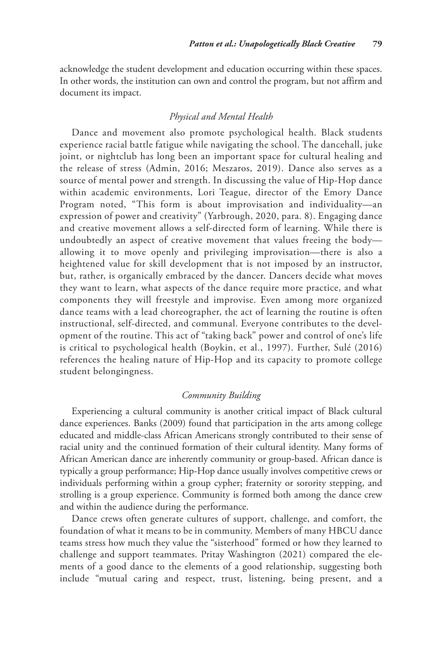acknowledge the student development and education occurring within these spaces. In other words, the institution can own and control the program, but not affirm and document its impact.

## *Physical and Mental Health*

Dance and movement also promote psychological health. Black students experience racial battle fatigue while navigating the school. The dancehall, juke joint, or nightclub has long been an important space for cultural healing and the release of stress (Admin, 2016; Meszaros, 2019). Dance also serves as a source of mental power and strength. In discussing the value of Hip-Hop dance within academic environments, Lori Teague, director of the Emory Dance Program noted, "This form is about improvisation and individuality—an expression of power and creativity" (Yarbrough, 2020, para. 8). Engaging dance and creative movement allows a self-directed form of learning. While there is undoubtedly an aspect of creative movement that values freeing the body allowing it to move openly and privileging improvisation—there is also a heightened value for skill development that is not imposed by an instructor, but, rather, is organically embraced by the dancer. Dancers decide what moves they want to learn, what aspects of the dance require more practice, and what components they will freestyle and improvise. Even among more organized dance teams with a lead choreographer, the act of learning the routine is often instructional, self-directed, and communal. Everyone contributes to the development of the routine. This act of "taking back" power and control of one's life is critical to psychological health (Boykin, et al., 1997). Further, Sulé (2016) references the healing nature of Hip-Hop and its capacity to promote college student belongingness.

# *Community Building*

Experiencing a cultural community is another critical impact of Black cultural dance experiences. Banks (2009) found that participation in the arts among college educated and middle-class African Americans strongly contributed to their sense of racial unity and the continued formation of their cultural identity. Many forms of African American dance are inherently community or group-based. African dance is typically a group performance; Hip-Hop dance usually involves competitive crews or individuals performing within a group cypher; fraternity or sorority stepping, and strolling is a group experience. Community is formed both among the dance crew and within the audience during the performance.

Dance crews often generate cultures of support, challenge, and comfort, the foundation of what it means to be in community. Members of many HBCU dance teams stress how much they value the "sisterhood" formed or how they learned to challenge and support teammates. Pritay Washington (2021) compared the elements of a good dance to the elements of a good relationship, suggesting both include "mutual caring and respect, trust, listening, being present, and a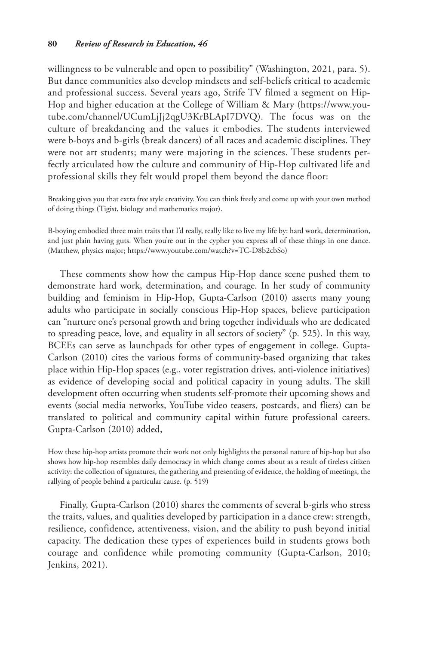willingness to be vulnerable and open to possibility" (Washington, 2021, para. 5). But dance communities also develop mindsets and self-beliefs critical to academic and professional success. Several years ago, Strife TV filmed a segment on Hip-Hop and higher education at the College of William & Mary ([https://www.you](https://www.youtube.com/channel/UCumLjJj2qgU3KrBLApI7DVQ)[tube.com/channel/UCumLjJj2qgU3KrBLApI7DVQ\)](https://www.youtube.com/channel/UCumLjJj2qgU3KrBLApI7DVQ). The focus was on the culture of breakdancing and the values it embodies. The students interviewed were b-boys and b-girls (break dancers) of all races and academic disciplines. They were not art students; many were majoring in the sciences. These students perfectly articulated how the culture and community of Hip-Hop cultivated life and professional skills they felt would propel them beyond the dance floor:

Breaking gives you that extra free style creativity. You can think freely and come up with your own method of doing things (Tigist, biology and mathematics major).

B-boying embodied three main traits that I'd really, really like to live my life by: hard work, determination, and just plain having guts. When you're out in the cypher you express all of these things in one dance. (Matthew, physics major;<https://www.youtube.com/watch?v=TC-D8b2cbSo>)

These comments show how the campus Hip-Hop dance scene pushed them to demonstrate hard work, determination, and courage. In her study of community building and feminism in Hip-Hop, Gupta-Carlson (2010) asserts many young adults who participate in socially conscious Hip-Hop spaces, believe participation can "nurture one's personal growth and bring together individuals who are dedicated to spreading peace, love, and equality in all sectors of society" (p. 525). In this way, BCEEs can serve as launchpads for other types of engagement in college. Gupta-Carlson (2010) cites the various forms of community-based organizing that takes place within Hip-Hop spaces (e.g., voter registration drives, anti-violence initiatives) as evidence of developing social and political capacity in young adults. The skill development often occurring when students self-promote their upcoming shows and events (social media networks, YouTube video teasers, postcards, and fliers) can be translated to political and community capital within future professional careers. Gupta-Carlson (2010) added,

How these hip-hop artists promote their work not only highlights the personal nature of hip-hop but also shows how hip-hop resembles daily democracy in which change comes about as a result of tireless citizen activity: the collection of signatures, the gathering and presenting of evidence, the holding of meetings, the rallying of people behind a particular cause. (p. 519)

Finally, Gupta-Carlson (2010) shares the comments of several b-girls who stress the traits, values, and qualities developed by participation in a dance crew: strength, resilience, confidence, attentiveness, vision, and the ability to push beyond initial capacity. The dedication these types of experiences build in students grows both courage and confidence while promoting community (Gupta-Carlson, 2010; Jenkins, 2021).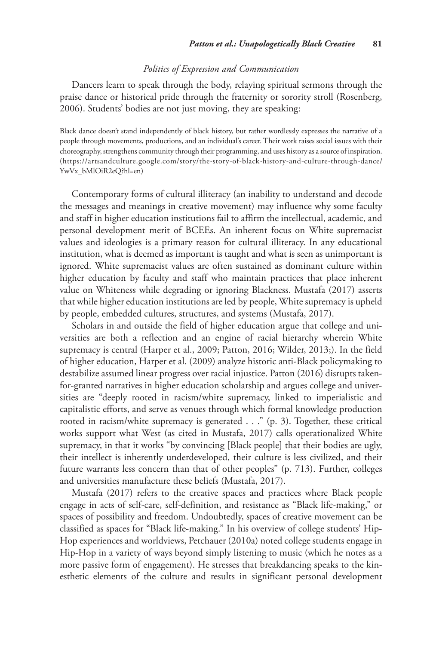### *Politics of Expression and Communication*

Dancers learn to speak through the body, relaying spiritual sermons through the praise dance or historical pride through the fraternity or sorority stroll (Rosenberg, 2006). Students' bodies are not just moving, they are speaking:

Black dance doesn't stand independently of black history, but rather wordlessly expresses the narrative of a people through movements, productions, and an individual's career. Their work raises social issues with their choreography, strengthens community through their programming, and uses history as a source of inspiration. ([https://artsandculture.google.com/story/the-story-of-black-history-and-culture-through-dance/](https://artsandculture.google.com/story/the-story-of-black-history-and-culture-through-dance/YwVx_bMlOiR2eQ?hl=en) [YwVx\\_bMlOiR2eQ?hl=en](https://artsandculture.google.com/story/the-story-of-black-history-and-culture-through-dance/YwVx_bMlOiR2eQ?hl=en))

Contemporary forms of cultural illiteracy (an inability to understand and decode the messages and meanings in creative movement) may influence why some faculty and staff in higher education institutions fail to affirm the intellectual, academic, and personal development merit of BCEEs. An inherent focus on White supremacist values and ideologies is a primary reason for cultural illiteracy. In any educational institution, what is deemed as important is taught and what is seen as unimportant is ignored. White supremacist values are often sustained as dominant culture within higher education by faculty and staff who maintain practices that place inherent value on Whiteness while degrading or ignoring Blackness. Mustafa (2017) asserts that while higher education institutions are led by people, White supremacy is upheld by people, embedded cultures, structures, and systems (Mustafa, 2017).

Scholars in and outside the field of higher education argue that college and universities are both a reflection and an engine of racial hierarchy wherein White supremacy is central (Harper et al., 2009; Patton, 2016; Wilder, 2013;). In the field of higher education, Harper et al. (2009) analyze historic anti-Black policymaking to destabilize assumed linear progress over racial injustice. Patton (2016) disrupts takenfor-granted narratives in higher education scholarship and argues college and universities are "deeply rooted in racism/white supremacy, linked to imperialistic and capitalistic efforts, and serve as venues through which formal knowledge production rooted in racism/white supremacy is generated . . ." (p. 3). Together, these critical works support what West (as cited in Mustafa, 2017) calls operationalized White supremacy, in that it works "by convincing [Black people] that their bodies are ugly, their intellect is inherently underdeveloped, their culture is less civilized, and their future warrants less concern than that of other peoples" (p. 713). Further, colleges and universities manufacture these beliefs (Mustafa, 2017).

Mustafa (2017) refers to the creative spaces and practices where Black people engage in acts of self-care, self-definition, and resistance as "Black life-making," or spaces of possibility and freedom. Undoubtedly, spaces of creative movement can be classified as spaces for "Black life-making." In his overview of college students' Hip-Hop experiences and worldviews, Petchauer (2010a) noted college students engage in Hip-Hop in a variety of ways beyond simply listening to music (which he notes as a more passive form of engagement). He stresses that breakdancing speaks to the kinesthetic elements of the culture and results in significant personal development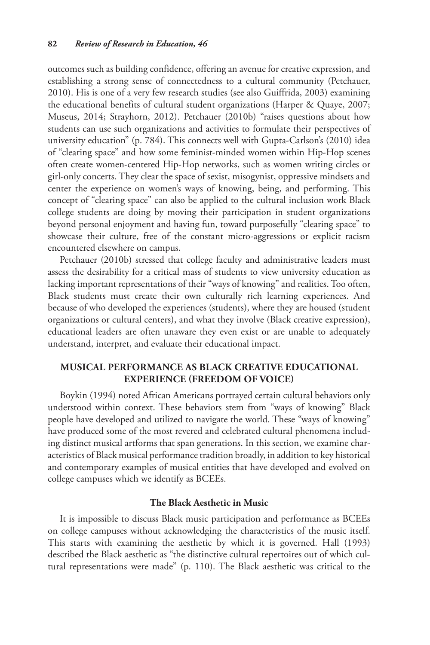outcomes such as building confidence, offering an avenue for creative expression, and establishing a strong sense of connectedness to a cultural community (Petchauer, 2010). His is one of a very few research studies (see also Guiffrida, 2003) examining the educational benefits of cultural student organizations (Harper & Quaye, 2007; Museus, 2014; Strayhorn, 2012). Petchauer (2010b) "raises questions about how students can use such organizations and activities to formulate their perspectives of university education" (p. 784). This connects well with Gupta-Carlson's (2010) idea of "clearing space" and how some feminist-minded women within Hip-Hop scenes often create women-centered Hip-Hop networks, such as women writing circles or girl-only concerts. They clear the space of sexist, misogynist, oppressive mindsets and center the experience on women's ways of knowing, being, and performing. This concept of "clearing space" can also be applied to the cultural inclusion work Black college students are doing by moving their participation in student organizations beyond personal enjoyment and having fun, toward purposefully "clearing space" to showcase their culture, free of the constant micro-aggressions or explicit racism encountered elsewhere on campus.

Petchauer (2010b) stressed that college faculty and administrative leaders must assess the desirability for a critical mass of students to view university education as lacking important representations of their "ways of knowing" and realities. Too often, Black students must create their own culturally rich learning experiences. And because of who developed the experiences (students), where they are housed (student organizations or cultural centers), and what they involve (Black creative expression), educational leaders are often unaware they even exist or are unable to adequately understand, interpret, and evaluate their educational impact.

# **Musical Performance as Black Creative Educational Experience (Freedom of Voice)**

Boykin (1994) noted African Americans portrayed certain cultural behaviors only understood within context. These behaviors stem from "ways of knowing" Black people have developed and utilized to navigate the world. These "ways of knowing" have produced some of the most revered and celebrated cultural phenomena including distinct musical artforms that span generations. In this section, we examine characteristics of Black musical performance tradition broadly, in addition to key historical and contemporary examples of musical entities that have developed and evolved on college campuses which we identify as BCEEs.

# **The Black Aesthetic in Music**

It is impossible to discuss Black music participation and performance as BCEEs on college campuses without acknowledging the characteristics of the music itself. This starts with examining the aesthetic by which it is governed. Hall (1993) described the Black aesthetic as "the distinctive cultural repertoires out of which cultural representations were made" (p. 110). The Black aesthetic was critical to the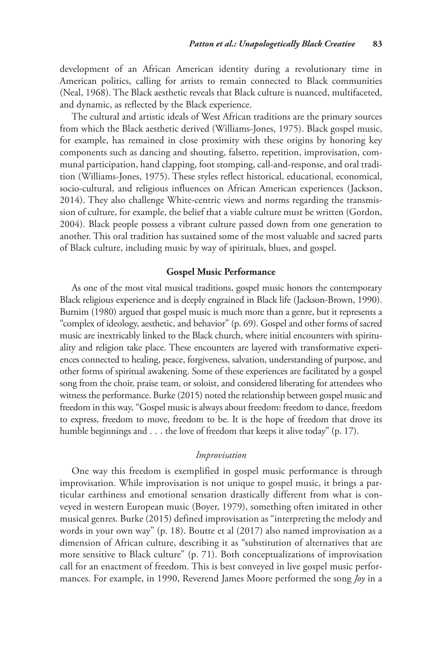development of an African American identity during a revolutionary time in American politics, calling for artists to remain connected to Black communities (Neal, 1968). The Black aesthetic reveals that Black culture is nuanced, multifaceted, and dynamic, as reflected by the Black experience.

The cultural and artistic ideals of West African traditions are the primary sources from which the Black aesthetic derived (Williams-Jones, 1975). Black gospel music, for example, has remained in close proximity with these origins by honoring key components such as dancing and shouting, falsetto, repetition, improvisation, communal participation, hand clapping, foot stomping, call-and-response, and oral tradition (Williams-Jones, 1975). These styles reflect historical, educational, economical, socio-cultural, and religious influences on African American experiences (Jackson, 2014). They also challenge White-centric views and norms regarding the transmission of culture, for example, the belief that a viable culture must be written (Gordon, 2004). Black people possess a vibrant culture passed down from one generation to another. This oral tradition has sustained some of the most valuable and sacred parts of Black culture, including music by way of spirituals, blues, and gospel.

#### **Gospel Music Performance**

As one of the most vital musical traditions, gospel music honors the contemporary Black religious experience and is deeply engrained in Black life (Jackson-Brown, 1990). Burnim (1980) argued that gospel music is much more than a genre, but it represents a "complex of ideology, aesthetic, and behavior" (p. 69). Gospel and other forms of sacred music are inextricably linked to the Black church, where initial encounters with spirituality and religion take place. These encounters are layered with transformative experiences connected to healing, peace, forgiveness, salvation, understanding of purpose, and other forms of spiritual awakening. Some of these experiences are facilitated by a gospel song from the choir, praise team, or soloist, and considered liberating for attendees who witness the performance. Burke (2015) noted the relationship between gospel music and freedom in this way, "Gospel music is always about freedom: freedom to dance, freedom to express, freedom to move, freedom to be. It is the hope of freedom that drove its humble beginnings and . . . the love of freedom that keeps it alive today" (p. 17).

## *Improvisation*

One way this freedom is exemplified in gospel music performance is through improvisation. While improvisation is not unique to gospel music, it brings a particular earthiness and emotional sensation drastically different from what is conveyed in western European music (Boyer, 1979), something often imitated in other musical genres. Burke (2015) defined improvisation as "interpreting the melody and words in your own way" (p. 18). Boutte et al (2017) also named improvisation as a dimension of African culture, describing it as "substitution of alternatives that are more sensitive to Black culture" (p. 71). Both conceptualizations of improvisation call for an enactment of freedom. This is best conveyed in live gospel music performances. For example, in 1990, Reverend James Moore performed the song *Joy* in a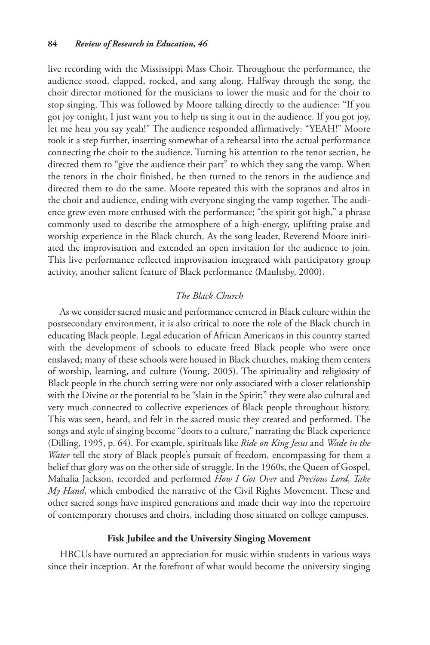live recording with the Mississippi Mass Choir. Throughout the performance, the audience stood, clapped, rocked, and sang along. Halfway through the song, the choir director motioned for the musicians to lower the music and for the choir to stop singing. This was followed by Moore talking directly to the audience: "If you got joy tonight, I just want you to help us sing it out in the audience. If you got joy, let me hear you say yeah!" The audience responded affirmatively: "YEAH!" Moore took it a step further, inserting somewhat of a rehearsal into the actual performance connecting the choir to the audience. Turning his attention to the tenor section, he directed them to "give the audience their part" to which they sang the vamp. When the tenors in the choir finished, he then turned to the tenors in the audience and directed them to do the same. Moore repeated this with the sopranos and altos in the choir and audience, ending with everyone singing the vamp together. The audience grew even more enthused with the performance; "the spirit got high," a phrase commonly used to describe the atmosphere of a high-energy, uplifting praise and worship experience in the Black church. As the song leader, Reverend Moore initiated the improvisation and extended an open invitation for the audience to join. This live performance reflected improvisation integrated with participatory group activity, another salient feature of Black performance (Maultsby, 2000).

# *The Black Church*

As we consider sacred music and performance centered in Black culture within the postsecondary environment, it is also critical to note the role of the Black church in educating Black people. Legal education of African Americans in this country started with the development of schools to educate freed Black people who were once enslaved; many of these schools were housed in Black churches, making them centers of worship, learning, and culture (Young, 2005). The spirituality and religiosity of Black people in the church setting were not only associated with a closer relationship with the Divine or the potential to be "slain in the Spirit;" they were also cultural and very much connected to collective experiences of Black people throughout history. This was seen, heard, and felt in the sacred music they created and performed. The songs and style of singing become "doors to a culture," narrating the Black experience (Dilling, 1995, p. 64). For example, spirituals like *Ride on King Jesus* and *Wade in the Water* tell the story of Black people's pursuit of freedom, encompassing for them a belief that glory was on the other side of struggle. In the 1960s, the Queen of Gospel, Mahalia Jackson, recorded and performed *How I Got Over* and *Precious Lord, Take My Hand*, which embodied the narrative of the Civil Rights Movement. These and other sacred songs have inspired generations and made their way into the repertoire of contemporary choruses and choirs, including those situated on college campuses.

#### **Fisk Jubilee and the University Singing Movement**

HBCUs have nurtured an appreciation for music within students in various ways since their inception. At the forefront of what would become the university singing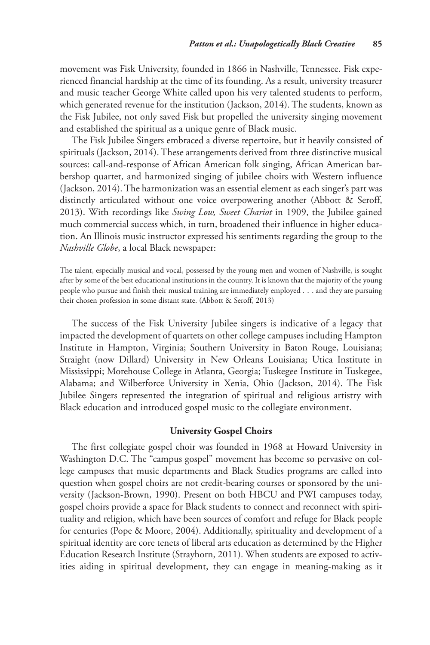movement was Fisk University, founded in 1866 in Nashville, Tennessee. Fisk experienced financial hardship at the time of its founding. As a result, university treasurer and music teacher George White called upon his very talented students to perform, which generated revenue for the institution (Jackson, 2014). The students, known as the Fisk Jubilee, not only saved Fisk but propelled the university singing movement and established the spiritual as a unique genre of Black music.

The Fisk Jubilee Singers embraced a diverse repertoire, but it heavily consisted of spirituals (Jackson, 2014). These arrangements derived from three distinctive musical sources: call-and-response of African American folk singing, African American barbershop quartet, and harmonized singing of jubilee choirs with Western influence (Jackson, 2014). The harmonization was an essential element as each singer's part was distinctly articulated without one voice overpowering another (Abbott & Seroff, 2013). With recordings like *Swing Low, Sweet Chariot* in 1909, the Jubilee gained much commercial success which, in turn, broadened their influence in higher education. An Illinois music instructor expressed his sentiments regarding the group to the *Nashville Globe*, a local Black newspaper:

The talent, especially musical and vocal, possessed by the young men and women of Nashville, is sought after by some of the best educational institutions in the country. It is known that the majority of the young people who pursue and finish their musical training are immediately employed . . . and they are pursuing their chosen profession in some distant state. (Abbott & Seroff, 2013)

The success of the Fisk University Jubilee singers is indicative of a legacy that impacted the development of quartets on other college campuses including Hampton Institute in Hampton, Virginia; Southern University in Baton Rouge, Louisiana; Straight (now Dillard) University in New Orleans Louisiana; Utica Institute in Mississippi; Morehouse College in Atlanta, Georgia; Tuskegee Institute in Tuskegee, Alabama; and Wilberforce University in Xenia, Ohio (Jackson, 2014). The Fisk Jubilee Singers represented the integration of spiritual and religious artistry with Black education and introduced gospel music to the collegiate environment.

## **University Gospel Choirs**

The first collegiate gospel choir was founded in 1968 at Howard University in Washington D.C. The "campus gospel" movement has become so pervasive on college campuses that music departments and Black Studies programs are called into question when gospel choirs are not credit-bearing courses or sponsored by the university (Jackson-Brown, 1990). Present on both HBCU and PWI campuses today, gospel choirs provide a space for Black students to connect and reconnect with spirituality and religion, which have been sources of comfort and refuge for Black people for centuries (Pope & Moore, 2004). Additionally, spirituality and development of a spiritual identity are core tenets of liberal arts education as determined by the Higher Education Research Institute (Strayhorn, 2011). When students are exposed to activities aiding in spiritual development, they can engage in meaning-making as it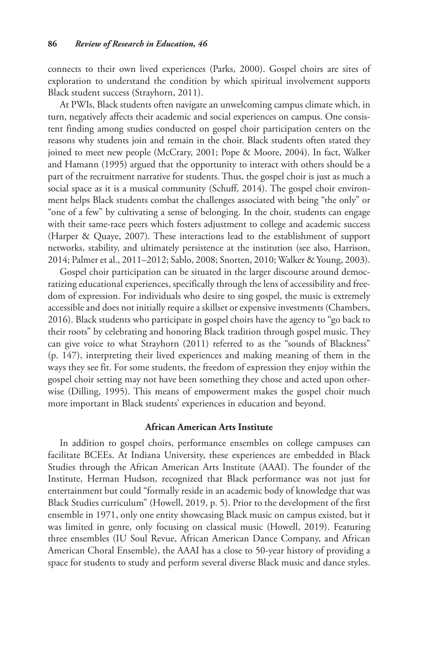connects to their own lived experiences (Parks, 2000). Gospel choirs are sites of exploration to understand the condition by which spiritual involvement supports Black student success (Strayhorn, 2011).

At PWIs, Black students often navigate an unwelcoming campus climate which, in turn, negatively affects their academic and social experiences on campus. One consistent finding among studies conducted on gospel choir participation centers on the reasons why students join and remain in the choir. Black students often stated they joined to meet new people (McCrary, 2001; Pope & Moore, 2004). In fact, Walker and Hamann (1995) argued that the opportunity to interact with others should be a part of the recruitment narrative for students. Thus, the gospel choir is just as much a social space as it is a musical community (Schuff, 2014). The gospel choir environment helps Black students combat the challenges associated with being "the only" or "one of a few" by cultivating a sense of belonging. In the choir, students can engage with their same-race peers which fosters adjustment to college and academic success (Harper & Quaye, 2007). These interactions lead to the establishment of support networks, stability, and ultimately persistence at the institution (see also, Harrison, 2014; Palmer et al., 2011–2012; Sablo, 2008; Snorten, 2010; Walker & Young, 2003).

Gospel choir participation can be situated in the larger discourse around democratizing educational experiences, specifically through the lens of accessibility and freedom of expression. For individuals who desire to sing gospel, the music is extremely accessible and does not initially require a skillset or expensive investments (Chambers, 2016). Black students who participate in gospel choirs have the agency to "go back to their roots" by celebrating and honoring Black tradition through gospel music. They can give voice to what Strayhorn (2011) referred to as the "sounds of Blackness" (p. 147), interpreting their lived experiences and making meaning of them in the ways they see fit. For some students, the freedom of expression they enjoy within the gospel choir setting may not have been something they chose and acted upon otherwise (Dilling, 1995). This means of empowerment makes the gospel choir much more important in Black students' experiences in education and beyond.

# **African American Arts Institute**

In addition to gospel choirs, performance ensembles on college campuses can facilitate BCEEs. At Indiana University, these experiences are embedded in Black Studies through the African American Arts Institute (AAAI). The founder of the Institute, Herman Hudson, recognized that Black performance was not just for entertainment but could "formally reside in an academic body of knowledge that was Black Studies curriculum" (Howell, 2019, p. 5). Prior to the development of the first ensemble in 1971, only one entity showcasing Black music on campus existed, but it was limited in genre, only focusing on classical music (Howell, 2019). Featuring three ensembles (IU Soul Revue, African American Dance Company, and African American Choral Ensemble), the AAAI has a close to 50-year history of providing a space for students to study and perform several diverse Black music and dance styles.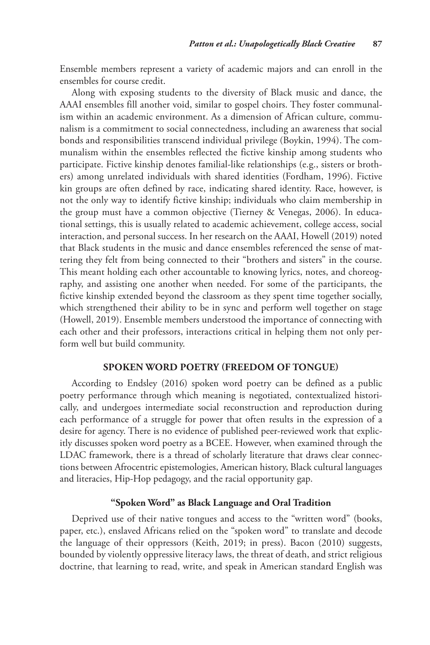Ensemble members represent a variety of academic majors and can enroll in the ensembles for course credit.

Along with exposing students to the diversity of Black music and dance, the AAAI ensembles fill another void, similar to gospel choirs. They foster communalism within an academic environment. As a dimension of African culture, communalism is a commitment to social connectedness, including an awareness that social bonds and responsibilities transcend individual privilege (Boykin, 1994). The communalism within the ensembles reflected the fictive kinship among students who participate. Fictive kinship denotes familial-like relationships (e.g., sisters or brothers) among unrelated individuals with shared identities (Fordham, 1996). Fictive kin groups are often defined by race, indicating shared identity. Race, however, is not the only way to identify fictive kinship; individuals who claim membership in the group must have a common objective (Tierney & Venegas, 2006). In educational settings, this is usually related to academic achievement, college access, social interaction, and personal success. In her research on the AAAI, Howell (2019) noted that Black students in the music and dance ensembles referenced the sense of mattering they felt from being connected to their "brothers and sisters" in the course. This meant holding each other accountable to knowing lyrics, notes, and choreography, and assisting one another when needed. For some of the participants, the fictive kinship extended beyond the classroom as they spent time together socially, which strengthened their ability to be in sync and perform well together on stage (Howell, 2019). Ensemble members understood the importance of connecting with each other and their professors, interactions critical in helping them not only perform well but build community.

## **Spoken Word Poetry (Freedom of Tongue)**

According to Endsley (2016) spoken word poetry can be defined as a public poetry performance through which meaning is negotiated, contextualized historically, and undergoes intermediate social reconstruction and reproduction during each performance of a struggle for power that often results in the expression of a desire for agency. There is no evidence of published peer-reviewed work that explicitly discusses spoken word poetry as a BCEE. However, when examined through the LDAC framework, there is a thread of scholarly literature that draws clear connections between Afrocentric epistemologies, American history, Black cultural languages and literacies, Hip-Hop pedagogy, and the racial opportunity gap.

# **"Spoken Word" as Black Language and Oral Tradition**

Deprived use of their native tongues and access to the "written word" (books, paper, etc.), enslaved Africans relied on the "spoken word" to translate and decode the language of their oppressors (Keith, 2019; in press). Bacon (2010) suggests, bounded by violently oppressive literacy laws, the threat of death, and strict religious doctrine, that learning to read, write, and speak in American standard English was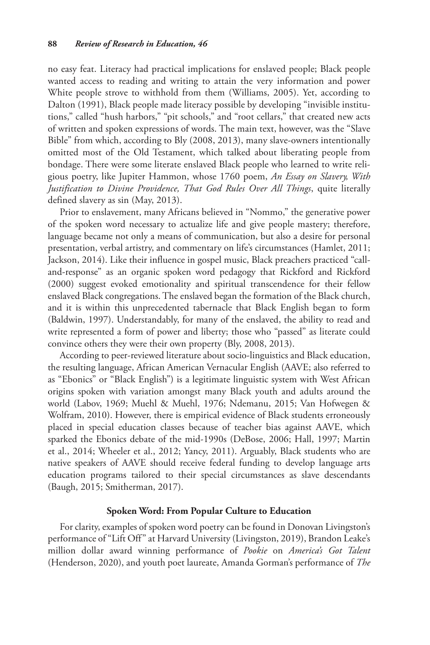no easy feat. Literacy had practical implications for enslaved people; Black people wanted access to reading and writing to attain the very information and power White people strove to withhold from them (Williams, 2005). Yet, according to Dalton (1991), Black people made literacy possible by developing "invisible institutions," called "hush harbors," "pit schools," and "root cellars," that created new acts of written and spoken expressions of words. The main text, however, was the "Slave Bible" from which, according to Bly (2008, 2013), many slave-owners intentionally omitted most of the Old Testament, which talked about liberating people from bondage. There were some literate enslaved Black people who learned to write religious poetry, like Jupiter Hammon, whose 1760 poem, *An Essay on Slavery, With Justification to Divine Providence, That God Rules Over All Things*, quite literally defined slavery as sin (May, 2013).

Prior to enslavement, many Africans believed in "Nommo," the generative power of the spoken word necessary to actualize life and give people mastery; therefore, language became not only a means of communication, but also a desire for personal presentation, verbal artistry, and commentary on life's circumstances (Hamlet, 2011; Jackson, 2014). Like their influence in gospel music, Black preachers practiced "calland-response" as an organic spoken word pedagogy that Rickford and Rickford (2000) suggest evoked emotionality and spiritual transcendence for their fellow enslaved Black congregations. The enslaved began the formation of the Black church, and it is within this unprecedented tabernacle that Black English began to form (Baldwin, 1997). Understandably, for many of the enslaved, the ability to read and write represented a form of power and liberty; those who "passed" as literate could convince others they were their own property (Bly, 2008, 2013).

According to peer-reviewed literature about socio-linguistics and Black education, the resulting language, African American Vernacular English (AAVE; also referred to as "Ebonics" or "Black English") is a legitimate linguistic system with West African origins spoken with variation amongst many Black youth and adults around the world (Labov, 1969; Muehl & Muehl, 1976; Ndemanu, 2015; Van Hofwegen & Wolfram, 2010). However, there is empirical evidence of Black students erroneously placed in special education classes because of teacher bias against AAVE, which sparked the Ebonics debate of the mid-1990s (DeBose, 2006; Hall, 1997; Martin et al., 2014; Wheeler et al., 2012; Yancy, 2011). Arguably, Black students who are native speakers of AAVE should receive federal funding to develop language arts education programs tailored to their special circumstances as slave descendants (Baugh, 2015; Smitherman, 2017).

### **Spoken Word: From Popular Culture to Education**

For clarity, examples of spoken word poetry can be found in Donovan Livingston's performance of "Lift Off" at Harvard University (Livingston, 2019), Brandon Leake's million dollar award winning performance of *Pookie* on *America's Got Talent* (Henderson, 2020), and youth poet laureate, Amanda Gorman's performance of *The*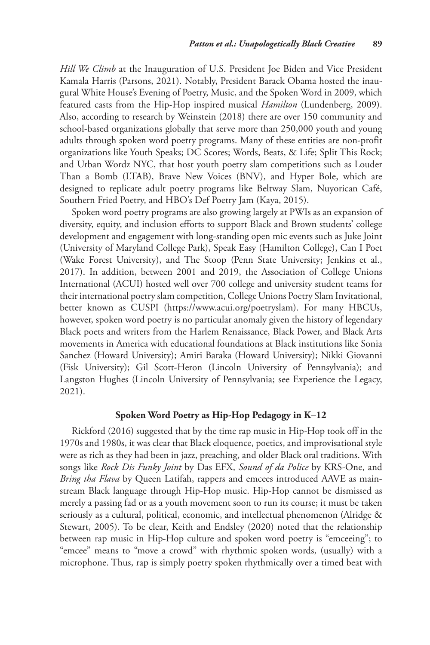*Hill We Climb* at the Inauguration of U.S. President Joe Biden and Vice President Kamala Harris (Parsons, 2021). Notably, President Barack Obama hosted the inaugural White House's Evening of Poetry, Music, and the Spoken Word in 2009, which featured casts from the Hip-Hop inspired musical *Hamilton* (Lundenberg, 2009). Also, according to research by Weinstein (2018) there are over 150 community and school-based organizations globally that serve more than 250,000 youth and young adults through spoken word poetry programs. Many of these entities are non-profit organizations like Youth Speaks; DC Scores; Words, Beats, & Life; Split This Rock; and Urban Wordz NYC, that host youth poetry slam competitions such as Louder Than a Bomb (LTAB), Brave New Voices (BNV), and Hyper Bole, which are designed to replicate adult poetry programs like Beltway Slam, Nuyorican Café, Southern Fried Poetry, and HBO's Def Poetry Jam (Kaya, 2015).

Spoken word poetry programs are also growing largely at PWIs as an expansion of diversity, equity, and inclusion efforts to support Black and Brown students' college development and engagement with long-standing open mic events such as Juke Joint (University of Maryland College Park), Speak Easy (Hamilton College), Can I Poet (Wake Forest University), and The Stoop (Penn State University; Jenkins et al., 2017). In addition, between 2001 and 2019, the Association of College Unions International (ACUI) hosted well over 700 college and university student teams for their international poetry slam competition, College Unions Poetry Slam Invitational, better known as CUSPI (<https://www.acui.org/poetryslam>). For many HBCUs, however, spoken word poetry is no particular anomaly given the history of legendary Black poets and writers from the Harlem Renaissance, Black Power, and Black Arts movements in America with educational foundations at Black institutions like Sonia Sanchez (Howard University); Amiri Baraka (Howard University); Nikki Giovanni (Fisk University); Gil Scott-Heron (Lincoln University of Pennsylvania); and Langston Hughes (Lincoln University of Pennsylvania; see Experience the Legacy, 2021).

# **Spoken Word Poetry as Hip-Hop Pedagogy in K–12**

Rickford (2016) suggested that by the time rap music in Hip-Hop took off in the 1970s and 1980s, it was clear that Black eloquence, poetics, and improvisational style were as rich as they had been in jazz, preaching, and older Black oral traditions. With songs like *Rock Dis Funky Joint* by Das EFX, *Sound of da Police* by KRS-One, and *Bring tha Flava* by Queen Latifah, rappers and emcees introduced AAVE as mainstream Black language through Hip-Hop music. Hip-Hop cannot be dismissed as merely a passing fad or as a youth movement soon to run its course; it must be taken seriously as a cultural, political, economic, and intellectual phenomenon (Alridge & Stewart, 2005). To be clear, Keith and Endsley (2020) noted that the relationship between rap music in Hip-Hop culture and spoken word poetry is "emceeing"; to "emcee" means to "move a crowd" with rhythmic spoken words, (usually) with a microphone. Thus, rap is simply poetry spoken rhythmically over a timed beat with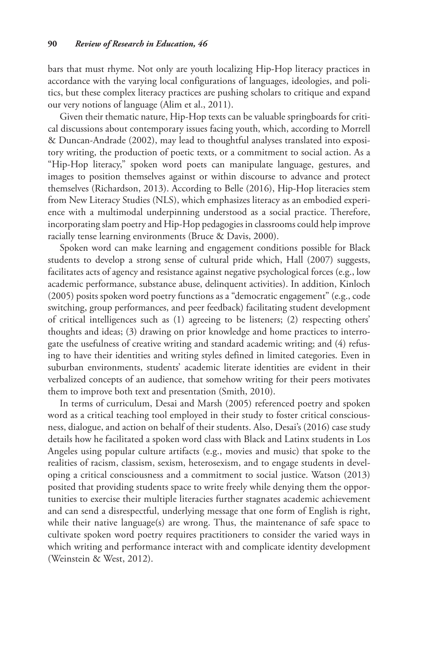bars that must rhyme. Not only are youth localizing Hip-Hop literacy practices in accordance with the varying local configurations of languages, ideologies, and politics, but these complex literacy practices are pushing scholars to critique and expand our very notions of language (Alim et al., 2011).

Given their thematic nature, Hip-Hop texts can be valuable springboards for critical discussions about contemporary issues facing youth, which, according to Morrell & Duncan-Andrade (2002), may lead to thoughtful analyses translated into expository writing, the production of poetic texts, or a commitment to social action. As a "Hip-Hop literacy," spoken word poets can manipulate language, gestures, and images to position themselves against or within discourse to advance and protect themselves (Richardson, 2013). According to Belle (2016), Hip-Hop literacies stem from New Literacy Studies (NLS), which emphasizes literacy as an embodied experience with a multimodal underpinning understood as a social practice. Therefore, incorporating slam poetry and Hip-Hop pedagogies in classrooms could help improve racially tense learning environments (Bruce & Davis, 2000).

Spoken word can make learning and engagement conditions possible for Black students to develop a strong sense of cultural pride which, Hall (2007) suggests, facilitates acts of agency and resistance against negative psychological forces (e.g., low academic performance, substance abuse, delinquent activities). In addition, Kinloch (2005) posits spoken word poetry functions as a "democratic engagement" (e.g., code switching, group performances, and peer feedback) facilitating student development of critical intelligences such as (1) agreeing to be listeners; (2) respecting others' thoughts and ideas; (3) drawing on prior knowledge and home practices to interrogate the usefulness of creative writing and standard academic writing; and (4) refusing to have their identities and writing styles defined in limited categories. Even in suburban environments, students' academic literate identities are evident in their verbalized concepts of an audience, that somehow writing for their peers motivates them to improve both text and presentation (Smith, 2010).

In terms of curriculum, Desai and Marsh (2005) referenced poetry and spoken word as a critical teaching tool employed in their study to foster critical consciousness, dialogue, and action on behalf of their students. Also, Desai's (2016) case study details how he facilitated a spoken word class with Black and Latinx students in Los Angeles using popular culture artifacts (e.g., movies and music) that spoke to the realities of racism, classism, sexism, heterosexism, and to engage students in developing a critical consciousness and a commitment to social justice. Watson (2013) posited that providing students space to write freely while denying them the opportunities to exercise their multiple literacies further stagnates academic achievement and can send a disrespectful, underlying message that one form of English is right, while their native language(s) are wrong. Thus, the maintenance of safe space to cultivate spoken word poetry requires practitioners to consider the varied ways in which writing and performance interact with and complicate identity development (Weinstein & West, 2012).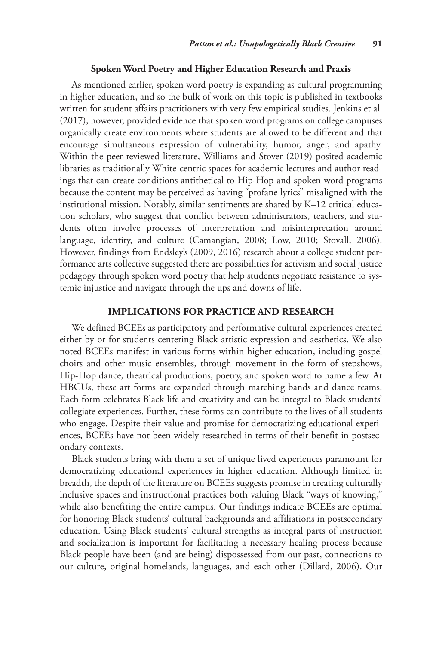#### **Spoken Word Poetry and Higher Education Research and Praxis**

As mentioned earlier, spoken word poetry is expanding as cultural programming in higher education, and so the bulk of work on this topic is published in textbooks written for student affairs practitioners with very few empirical studies. Jenkins et al. (2017), however, provided evidence that spoken word programs on college campuses organically create environments where students are allowed to be different and that encourage simultaneous expression of vulnerability, humor, anger, and apathy. Within the peer-reviewed literature, Williams and Stover (2019) posited academic libraries as traditionally White-centric spaces for academic lectures and author readings that can create conditions antithetical to Hip-Hop and spoken word programs because the content may be perceived as having "profane lyrics" misaligned with the institutional mission. Notably, similar sentiments are shared by K–12 critical education scholars, who suggest that conflict between administrators, teachers, and students often involve processes of interpretation and misinterpretation around language, identity, and culture (Camangian, 2008; Low, 2010; Stovall, 2006). However, findings from Endsley's (2009, 2016) research about a college student performance arts collective suggested there are possibilities for activism and social justice pedagogy through spoken word poetry that help students negotiate resistance to systemic injustice and navigate through the ups and downs of life.

# **Implications for Practice and Research**

We defined BCEEs as participatory and performative cultural experiences created either by or for students centering Black artistic expression and aesthetics. We also noted BCEEs manifest in various forms within higher education, including gospel choirs and other music ensembles, through movement in the form of stepshows, Hip-Hop dance, theatrical productions, poetry, and spoken word to name a few. At HBCUs, these art forms are expanded through marching bands and dance teams. Each form celebrates Black life and creativity and can be integral to Black students' collegiate experiences. Further, these forms can contribute to the lives of all students who engage. Despite their value and promise for democratizing educational experiences, BCEEs have not been widely researched in terms of their benefit in postsecondary contexts.

Black students bring with them a set of unique lived experiences paramount for democratizing educational experiences in higher education. Although limited in breadth, the depth of the literature on BCEEs suggests promise in creating culturally inclusive spaces and instructional practices both valuing Black "ways of knowing," while also benefiting the entire campus. Our findings indicate BCEEs are optimal for honoring Black students' cultural backgrounds and affiliations in postsecondary education. Using Black students' cultural strengths as integral parts of instruction and socialization is important for facilitating a necessary healing process because Black people have been (and are being) dispossessed from our past, connections to our culture, original homelands, languages, and each other (Dillard, 2006). Our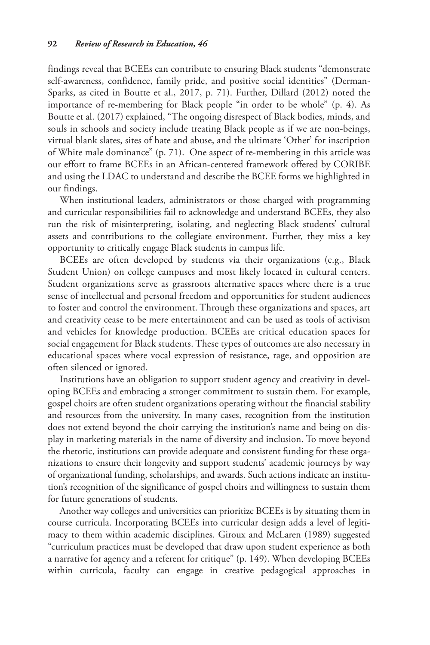findings reveal that BCEEs can contribute to ensuring Black students "demonstrate self-awareness, confidence, family pride, and positive social identities" (Derman-Sparks, as cited in Boutte et al., 2017, p. 71). Further, Dillard (2012) noted the importance of re-membering for Black people "in order to be whole" (p. 4). As Boutte et al. (2017) explained, "The ongoing disrespect of Black bodies, minds, and souls in schools and society include treating Black people as if we are non-beings, virtual blank slates, sites of hate and abuse, and the ultimate 'Other' for inscription of White male dominance" (p. 71). One aspect of re-membering in this article was our effort to frame BCEEs in an African-centered framework offered by CORIBE and using the LDAC to understand and describe the BCEE forms we highlighted in our findings.

When institutional leaders, administrators or those charged with programming and curricular responsibilities fail to acknowledge and understand BCEEs, they also run the risk of misinterpreting, isolating, and neglecting Black students' cultural assets and contributions to the collegiate environment. Further, they miss a key opportunity to critically engage Black students in campus life.

BCEEs are often developed by students via their organizations (e.g., Black Student Union) on college campuses and most likely located in cultural centers. Student organizations serve as grassroots alternative spaces where there is a true sense of intellectual and personal freedom and opportunities for student audiences to foster and control the environment. Through these organizations and spaces, art and creativity cease to be mere entertainment and can be used as tools of activism and vehicles for knowledge production. BCEEs are critical education spaces for social engagement for Black students. These types of outcomes are also necessary in educational spaces where vocal expression of resistance, rage, and opposition are often silenced or ignored.

Institutions have an obligation to support student agency and creativity in developing BCEEs and embracing a stronger commitment to sustain them. For example, gospel choirs are often student organizations operating without the financial stability and resources from the university. In many cases, recognition from the institution does not extend beyond the choir carrying the institution's name and being on display in marketing materials in the name of diversity and inclusion. To move beyond the rhetoric, institutions can provide adequate and consistent funding for these organizations to ensure their longevity and support students' academic journeys by way of organizational funding, scholarships, and awards. Such actions indicate an institution's recognition of the significance of gospel choirs and willingness to sustain them for future generations of students.

Another way colleges and universities can prioritize BCEEs is by situating them in course curricula. Incorporating BCEEs into curricular design adds a level of legitimacy to them within academic disciplines. Giroux and McLaren (1989) suggested "curriculum practices must be developed that draw upon student experience as both a narrative for agency and a referent for critique" (p. 149). When developing BCEEs within curricula, faculty can engage in creative pedagogical approaches in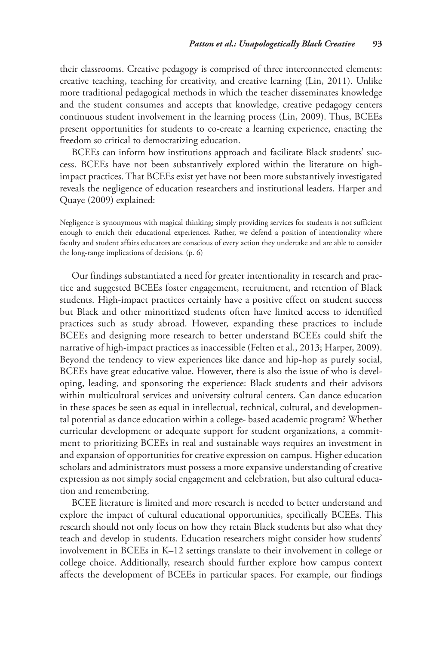their classrooms. Creative pedagogy is comprised of three interconnected elements: creative teaching, teaching for creativity, and creative learning (Lin, 2011). Unlike more traditional pedagogical methods in which the teacher disseminates knowledge and the student consumes and accepts that knowledge, creative pedagogy centers continuous student involvement in the learning process (Lin, 2009). Thus, BCEEs present opportunities for students to co-create a learning experience, enacting the freedom so critical to democratizing education.

BCEEs can inform how institutions approach and facilitate Black students' success. BCEEs have not been substantively explored within the literature on highimpact practices. That BCEEs exist yet have not been more substantively investigated reveals the negligence of education researchers and institutional leaders. Harper and Quaye (2009) explained:

Negligence is synonymous with magical thinking; simply providing services for students is not sufficient enough to enrich their educational experiences. Rather, we defend a position of intentionality where faculty and student affairs educators are conscious of every action they undertake and are able to consider the long-range implications of decisions. (p. 6)

Our findings substantiated a need for greater intentionality in research and practice and suggested BCEEs foster engagement, recruitment, and retention of Black students. High-impact practices certainly have a positive effect on student success but Black and other minoritized students often have limited access to identified practices such as study abroad. However, expanding these practices to include BCEEs and designing more research to better understand BCEEs could shift the narrative of high-impact practices as inaccessible (Felten et al., 2013; Harper, 2009). Beyond the tendency to view experiences like dance and hip-hop as purely social, BCEEs have great educative value. However, there is also the issue of who is developing, leading, and sponsoring the experience: Black students and their advisors within multicultural services and university cultural centers. Can dance education in these spaces be seen as equal in intellectual, technical, cultural, and developmental potential as dance education within a college- based academic program? Whether curricular development or adequate support for student organizations, a commitment to prioritizing BCEEs in real and sustainable ways requires an investment in and expansion of opportunities for creative expression on campus. Higher education scholars and administrators must possess a more expansive understanding of creative expression as not simply social engagement and celebration, but also cultural education and remembering.

BCEE literature is limited and more research is needed to better understand and explore the impact of cultural educational opportunities, specifically BCEEs. This research should not only focus on how they retain Black students but also what they teach and develop in students. Education researchers might consider how students' involvement in BCEEs in K–12 settings translate to their involvement in college or college choice. Additionally, research should further explore how campus context affects the development of BCEEs in particular spaces. For example, our findings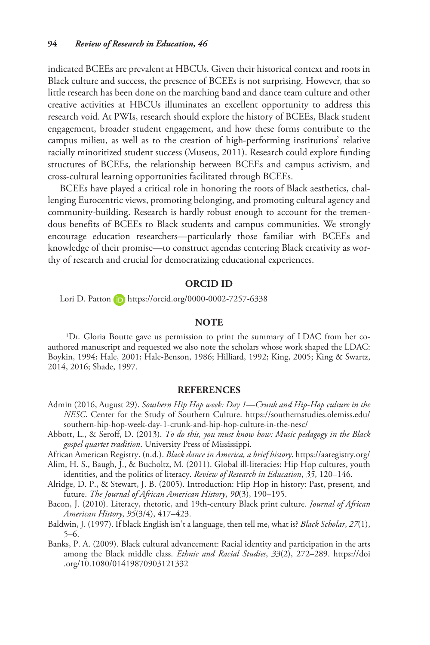indicated BCEEs are prevalent at HBCUs. Given their historical context and roots in Black culture and success, the presence of BCEEs is not surprising. However, that so little research has been done on the marching band and dance team culture and other creative activities at HBCUs illuminates an excellent opportunity to address this research void. At PWIs, research should explore the history of BCEEs, Black student engagement, broader student engagement, and how these forms contribute to the campus milieu, as well as to the creation of high-performing institutions' relative racially minoritized student success (Museus, 2011). Research could explore funding structures of BCEEs, the relationship between BCEEs and campus activism, and cross-cultural learning opportunities facilitated through BCEEs.

BCEEs have played a critical role in honoring the roots of Black aesthetics, challenging Eurocentric views, promoting belonging, and promoting cultural agency and community-building. Research is hardly robust enough to account for the tremendous benefits of BCEEs to Black students and campus communities. We strongly encourage education researchers—particularly those familiar with BCEEs and knowledge of their promise—to construct agendas centering Black creativity as worthy of research and crucial for democratizing educational experiences.

## **ORCID iD**

Lori D. Patton (D <https://orcid.org/0000-0002-7257-6338>

#### **NOTE**

1Dr. Gloria Boutte gave us permission to print the summary of LDAC from her coauthored manuscript and requested we also note the scholars whose work shaped the LDAC: Boykin, 1994; Hale, 2001; Hale-Benson, 1986; Hilliard, 1992; King, 2005; King & Swartz, 2014, 2016; Shade, 1997.

### **References**

- Admin (2016, August 29). *Southern Hip Hop week: Day 1—Crunk and Hip-Hop culture in the NESC*. Center for the Study of Southern Culture. [https://southernstudies.olemiss.edu/](https://southernstudies.olemiss.edu/southern-hip-hop-week-day-1-crunk-and-hip-hop-culture-in-the-nesc/) [southern-hip-hop-week-day-1-crunk-and-hip-hop-culture-in-the-nesc/](https://southernstudies.olemiss.edu/southern-hip-hop-week-day-1-crunk-and-hip-hop-culture-in-the-nesc/)
- Abbott, L., & Seroff, D. (2013). *To do this, you must know how: Music pedagogy in the Black gospel quartet tradition*. University Press of Mississippi.

African American Registry. (n.d.). *Black dance in America, a brief history*.<https://aaregistry.org/>

- Alim, H. S., Baugh, J., & Bucholtz, M. (2011). Global ill-literacies: Hip Hop cultures, youth identities, and the politics of literacy. *Review of Research in Education*, *35*, 120–146.
- Alridge, D. P., & Stewart, J. B. (2005). Introduction: Hip Hop in history: Past, present, and future. *The Journal of African American History*, *90*(3), 190–195.
- Bacon, J. (2010). Literacy, rhetoric, and 19th-century Black print culture. *Journal of African American History*, *95*(3/4), 417–423.
- Baldwin, J. (1997). If black English isn't a language, then tell me, what is? *Black Scholar*, *27*(1), 5–6.
- Banks, P. A. (2009). Black cultural advancement: Racial identity and participation in the arts among the Black middle class. *Ethnic and Racial Studies*, *33*(2), 272–289. [https://doi](https://doi.org/10.1080/01419870903121332) [.org/10.1080/01419870903121332](https://doi.org/10.1080/01419870903121332)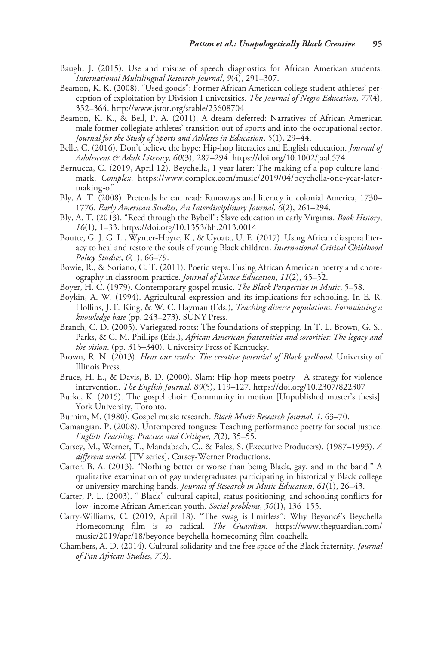- Baugh, J. (2015). Use and misuse of speech diagnostics for African American students. *International Multilingual Research Journal*, *9*(4), 291–307.
- Beamon, K. K. (2008). "Used goods": Former African American college student-athletes' perception of exploitation by Division I universities. *The Journal of Negro Education*, *77*(4), 352–364.<http://www.jstor.org/stable/25608704>
- Beamon, K. K., & Bell, P. A. (2011). A dream deferred: Narratives of African American male former collegiate athletes' transition out of sports and into the occupational sector. *Journal for the Study of Sports and Athletes in Education*, *5*(1), 29–44.
- Belle, C. (2016). Don't believe the hype: Hip-hop literacies and English education. *Journal of Adolescent & Adult Literacy*, *60*(3), 287–294.<https://doi.org/10.1002/jaal.574>
- Bernucca, C. (2019, April 12). Beychella, 1 year later: The making of a pop culture landmark. *Complex*. [https://www.complex.com/music/2019/04/beychella-one-year-later](https://www.complex.com/music/2019/04/beychella-one-year-later-making-of)[making-of](https://www.complex.com/music/2019/04/beychella-one-year-later-making-of)
- Bly, A. T. (2008). Pretends he can read: Runaways and literacy in colonial America, 1730– 1776. *Early American Studies, An Interdisciplinary Journal*, *6*(2), 261–294.
- Bly, A. T. (2013). "Reed through the Bybell": Slave education in early Virginia. *Book History*, *16*(1), 1–33.<https://doi.org/10.1353/bh.2013.0014>
- Boutte, G. J. G. L., Wynter-Hoyte, K., & Uyoata, U. E. (2017). Using African diaspora literacy to heal and restore the souls of young Black children. *International Critical Childhood Policy Studies*, *6*(1), 66–79.
- Bowie, R., & Soriano, C. T. (2011). Poetic steps: Fusing African American poetry and choreography in classroom practice. *Journal of Dance Education*, *11*(2), 45–52.
- Boyer, H. C. (1979). Contemporary gospel music. *The Black Perspective in Music*, 5–58.
- Boykin, A. W. (1994). Agricultural expression and its implications for schooling. In E. R. Hollins, J. E. King, & W. C. Hayman (Eds.), *Teaching diverse populations: Formulating a knowledge base* (pp. 243–273). SUNY Press.
- Branch, C. D. (2005). Variegated roots: The foundations of stepping. In T. L. Brown, G. S., Parks, & C. M. Phillips (Eds.), *African American fraternities and sororities: The legacy and the vision*. (pp. 315–340). University Press of Kentucky.
- Brown, R. N. (2013). *Hear our truths: The creative potential of Black girlhood*. University of Illinois Press.
- Bruce, H. E., & Davis, B. D. (2000). Slam: Hip-hop meets poetry—A strategy for violence intervention. *The English Journal*, *89*(5), 119–127.<https://doi.org/10.2307/822307>
- Burke, K. (2015). The gospel choir: Community in motion [Unpublished master's thesis]. York University, Toronto.
- Burnim, M. (1980). Gospel music research. *Black Music Research Journal*, *1*, 63–70.
- Camangian, P. (2008). Untempered tongues: Teaching performance poetry for social justice. *English Teaching: Practice and Critique*, *7*(2), 35–55.
- Carsey, M., Werner, T., Mandabach, C., & Fales, S. (Executive Producers). (1987–1993). *A different world*. [TV series]. Carsey-Werner Productions.
- Carter, B. A. (2013). "Nothing better or worse than being Black, gay, and in the band." A qualitative examination of gay undergraduates participating in historically Black college or university marching bands. *Journal of Research in Music Education*, *61*(1), 26–43.
- Carter, P. L. (2003). " Black" cultural capital, status positioning, and schooling conflicts for low- income African American youth. *Social problems*, *50*(1), 136–155.
- Carty-Williams, C. (2019, April 18). "The swag is limitless": Why Beyoncé's Beychella Homecoming film is so radical. *The Guardian*. [https://www.theguardian.com/](https://www.theguardian.com/music/2019/apr/18/beyonce-beychella-homecoming-film-coachella) [music/2019/apr/18/beyonce-beychella-homecoming-film-coachella](https://www.theguardian.com/music/2019/apr/18/beyonce-beychella-homecoming-film-coachella)
- Chambers, A. D. (2014). Cultural solidarity and the free space of the Black fraternity. *Journal of Pan African Studies*, *7*(3).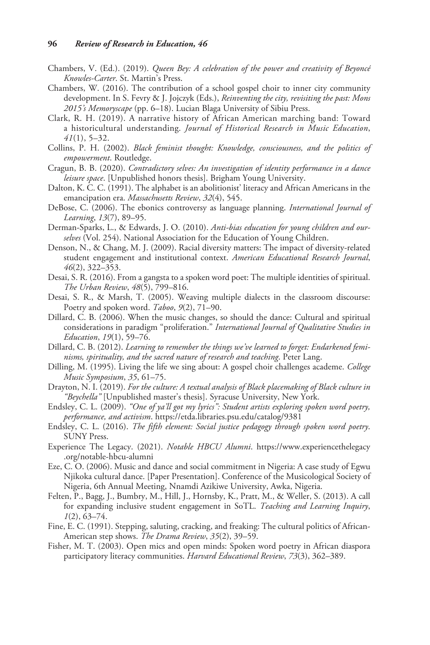- Chambers, V. (Ed.). (2019). *Queen Bey: A celebration of the power and creativity of Beyoncé Knowles-Carter*. St. Martin's Press.
- Chambers, W. (2016). The contribution of a school gospel choir to inner city community development. In S. Fevry & J. Jojczyk (Eds.), *Reinventing the city, revisiting the past: Mons 2015's Memoryscape* (pp. 6–18). Lucian Blaga University of Sibiu Press.
- Clark, R. H. (2019). A narrative history of African American marching band: Toward a historicultural understanding. *Journal of Historical Research in Music Education*, *41*(1), 5–32.
- Collins, P. H. (2002). *Black feminist thought: Knowledge, consciousness, and the politics of empowerment*. Routledge.
- Cragun, B. B. (2020). *Contradictory selves: An investigation of identity performance in a dance leisure space*. [Unpublished honors thesis]. Brigham Young University.
- Dalton, K. C. C. (1991). The alphabet is an abolitionist' literacy and African Americans in the emancipation era. *Massachusetts Review*, *32*(4), 545.
- DeBose, C. (2006). The ebonics controversy as language planning. *International Journal of Learning*, *13*(7), 89–95.
- Derman-Sparks, L., & Edwards, J. O. (2010). *Anti-bias education for young children and ourselves* (Vol. 254). National Association for the Education of Young Children.
- Denson, N., & Chang, M. J. (2009). Racial diversity matters: The impact of diversity-related student engagement and institutional context. *American Educational Research Journal*, *46*(2), 322–353.
- Desai, S. R. (2016). From a gangsta to a spoken word poet: The multiple identities of spiritual. *The Urban Review*, *48*(5), 799–816.
- Desai, S. R., & Marsh, T. (2005). Weaving multiple dialects in the classroom discourse: Poetry and spoken word. *Taboo*, *9*(2), 71–90.
- Dillard, C. B. (2006). When the music changes, so should the dance: Cultural and spiritual considerations in paradigm "proliferation." *International Journal of Qualitative Studies in Education*, *19*(1), 59–76.
- Dillard, C. B. (2012). *Learning to remember the things we've learned to forget: Endarkened feminisms, spirituality, and the sacred nature of research and teaching*. Peter Lang.
- Dilling, M. (1995). Living the life we sing about: A gospel choir challenges academe. *College Music Symposium*, *35*, 61–75.
- Drayton, N. I. (2019). *For the culture: A textual analysis of Black placemaking of Black culture in "Beychella"* [Unpublished master's thesis]. Syracuse University, New York.
- Endsley, C. L. (2009). *"One of ya'll got my lyrics": Student artists exploring spoken word poetry, performance, and activism*. <https://etda.libraries.psu.edu/catalog/9381>
- Endsley, C. L. (2016). *The fifth element: Social justice pedagogy through spoken word poetry*. SUNY Press.
- Experience The Legacy. (2021). *Notable HBCU Alumni*. [https://www.experiencethelegacy](https://www.experiencethelegacy.org/notable-hbcu-alumni) [.org/notable-hbcu-alumni](https://www.experiencethelegacy.org/notable-hbcu-alumni)
- Eze, C. O. (2006). Music and dance and social commitment in Nigeria: A case study of Egwu Njikoka cultural dance. [Paper Presentation]. Conference of the Musicological Society of Nigeria, 6th Annual Meeting, Nnamdi Azikiwe University, Awka, Nigeria.
- Felten, P., Bagg, J., Bumbry, M., Hill, J., Hornsby, K., Pratt, M., & Weller, S. (2013). A call for expanding inclusive student engagement in SoTL. *Teaching and Learning Inquiry*, *1*(2), 63–74.
- Fine, E. C. (1991). Stepping, saluting, cracking, and freaking: The cultural politics of African-American step shows. *The Drama Review*, *35*(2), 39–59.
- Fisher, M. T. (2003). Open mics and open minds: Spoken word poetry in African diaspora participatory literacy communities. *Harvard Educational Review*, *73*(3), 362–389.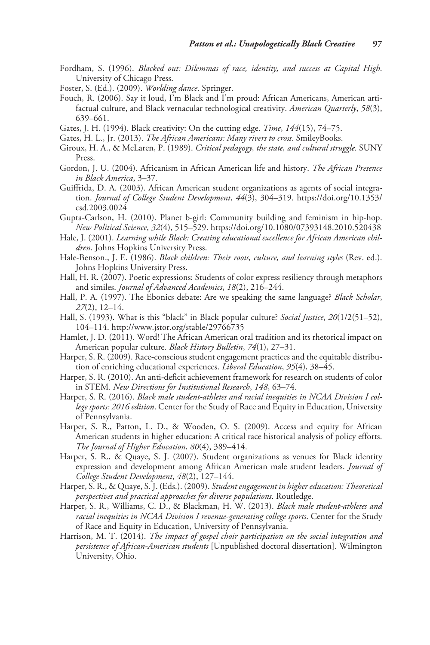- Fordham, S. (1996). *Blacked out: Dilemmas of race, identity, and success at Capital High*. University of Chicago Press.
- Foster, S. (Ed.). (2009). *Worlding dance*. Springer.
- Fouch, R. (2006). Say it loud, I'm Black and I'm proud: African Americans, American artifactual culture, and Black vernacular technological creativity. *American Quarterly*, *58*(3), 639–661.
- Gates, J. H. (1994). Black creativity: On the cutting edge. *Time*, *144*(15), 74–75.
- Gates, H. L., Jr. (2013). *The African Americans: Many rivers to cross*. SmileyBooks.
- Giroux, H. A., & McLaren, P. (1989). *Critical pedagogy, the state, and cultural struggle*. SUNY Press.
- Gordon, J. U. (2004). Africanism in African American life and history. *The African Presence in Black America*, 3–37.
- Guiffrida, D. A. (2003). African American student organizations as agents of social integration. *Journal of College Student Development*, *44*(3), 304–319. [https://doi.org/10.1353/](https://doi.org/10.1353/csd.2003.0024) [csd.2003.0024](https://doi.org/10.1353/csd.2003.0024)
- Gupta-Carlson, H. (2010). Planet b-girl: Community building and feminism in hip-hop. *New Political Science*, *32*(4), 515–529. <https://doi.org/10.1080/07393148.2010.520438>
- Hale, J. (2001). *Learning while Black: Creating educational excellence for African American children*. Johns Hopkins University Press.
- Hale-Benson., J. E. (1986). *Black children: Their roots, culture, and learning styles* (Rev. ed.). Johns Hopkins University Press.
- Hall, H. R. (2007). Poetic expressions: Students of color express resiliency through metaphors and similes. *Journal of Advanced Academics*, *18*(2), 216–244.
- Hall, P. A. (1997). The Ebonics debate: Are we speaking the same language? *Black Scholar*, *27*(2), 12–14.
- Hall, S. (1993). What is this "black" in Black popular culture? *Social Justice*, *20*(1/2(51–52), 104–114.<http://www.jstor.org/stable/29766735>
- Hamlet, J. D. (2011). Word! The African American oral tradition and its rhetorical impact on American popular culture. *Black History Bulletin*, *74*(1), 27–31.
- Harper, S. R. (2009). Race-conscious student engagement practices and the equitable distribution of enriching educational experiences. *Liberal Education*, *95*(4), 38–45.
- Harper, S. R. (2010). An anti-deficit achievement framework for research on students of color in STEM. *New Directions for Institutional Research*, *148*, 63–74.
- Harper, S. R. (2016). *Black male student-athletes and racial inequities in NCAA Division I college sports: 2016 edition*. Center for the Study of Race and Equity in Education, University of Pennsylvania.
- Harper, S. R., Patton, L. D., & Wooden, O. S. (2009). Access and equity for African American students in higher education: A critical race historical analysis of policy efforts. *The Journal of Higher Education*, *80*(4), 389–414.
- Harper, S. R., & Quaye, S. J. (2007). Student organizations as venues for Black identity expression and development among African American male student leaders. *Journal of College Student Development*, *48*(2), 127–144.
- Harper, S. R., & Quaye, S. J. (Eds.). (2009). *Student engagement in higher education: Theoretical perspectives and practical approaches for diverse populations*. Routledge.
- Harper, S. R., Williams, C. D., & Blackman, H. W. (2013). *Black male student-athletes and racial inequities in NCAA Division I revenue-generating college sports*. Center for the Study of Race and Equity in Education, University of Pennsylvania.
- Harrison, M. T. (2014). *The impact of gospel choir participation on the social integration and persistence of African-American students* [Unpublished doctoral dissertation]. Wilmington University, Ohio.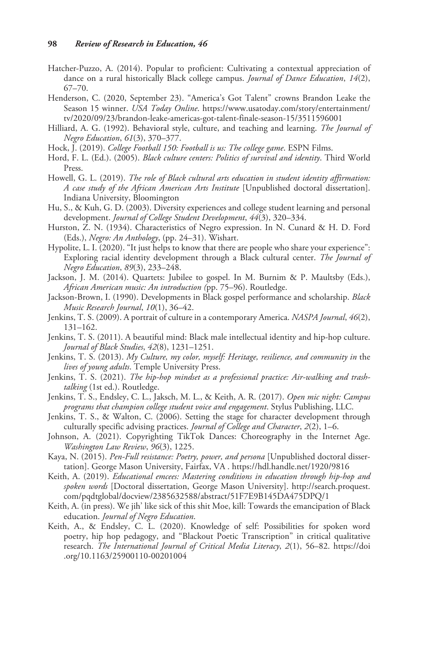- Hatcher-Puzzo, A. (2014). Popular to proficient: Cultivating a contextual appreciation of dance on a rural historically Black college campus. *Journal of Dance Education*, *14*(2), 67–70.
- Henderson, C. (2020, September 23). "America's Got Talent" crowns Brandon Leake the Season 15 winner. *USA Today Online*. [https://www.usatoday.com/story/entertainment/](https://www.usatoday.com/story/entertainment/tv/2020/09/23/brandon-leake-americas-got-talent-finale-season-15/3511596001) [tv/2020/09/23/brandon-leake-americas-got-talent-finale-season-15/3511596001](https://www.usatoday.com/story/entertainment/tv/2020/09/23/brandon-leake-americas-got-talent-finale-season-15/3511596001)
- Hilliard, A. G. (1992). Behavioral style, culture, and teaching and learning. *The Journal of Negro Education*, *61*(3), 370–377.
- Hock, J. (2019). *College Football 150: Football is us: The college game*. ESPN Films.
- Hord, F. L. (Ed.). (2005). *Black culture centers: Politics of survival and identity*. Third World Press.
- Howell, G. L. (2019). *The role of Black cultural arts education in student identity affirmation: A case study of the African American Arts Institute* [Unpublished doctoral dissertation]. Indiana University, Bloomington
- Hu, S., & Kuh, G. D. (2003). Diversity experiences and college student learning and personal development. *Journal of College Student Development*, *44*(3), 320–334.
- Hurston, Z. N. (1934). Characteristics of Negro expression. In N. Cunard & H. D. Ford (Eds.), *Negro: An Anthology*, (pp. 24–31). Wishart.
- Hypolite, L. I. (2020). "It just helps to know that there are people who share your experience": Exploring racial identity development through a Black cultural center. *The Journal of Negro Education*, *89*(3), 233–248.
- Jackson, J. M. (2014). Quartets: Jubilee to gospel. In M. Burnim & P. Maultsby (Eds.), *African American music: An introduction (*pp. 75–96). Routledge.
- Jackson-Brown, I. (1990). Developments in Black gospel performance and scholarship. *Black Music Research Journal*, *10*(1), 36–42.
- Jenkins, T. S. (2009). A portrait of culture in a contemporary America. *NASPA Journal*, *46*(2), 131–162.
- Jenkins, T. S. (2011). A beautiful mind: Black male intellectual identity and hip-hop culture. *Journal of Black Studies*, *42*(8), 1231–1251.
- Jenkins, T. S. (2013). *My Culture, my color, myself: Heritage, resilience, and community in* the *lives of young adults*. Temple University Press.
- Jenkins, T. S. (2021). *The hip-hop mindset as a professional practice: Air-walking and trashtalking* (1st ed.). Routledge.
- Jenkins, T. S., Endsley, C. L., Jaksch, M. L., & Keith, A. R. (2017). *Open mic night: Campus programs that champion college student voice and engagement*. Stylus Publishing, LLC.
- Jenkins, T. S., & Walton, C. (2006). Setting the stage for character development through culturally specific advising practices. *Journal of College and Character*, *2*(2), 1–6.
- Johnson, A. (2021). Copyrighting TikTok Dances: Choreography in the Internet Age. *Washington Law Review*, *96*(3), 1225.
- Kaya, N. (2015). *Pen-Full resistance: Poetry, power, and persona* [Unpublished doctoral dissertation]. George Mason University, Fairfax, VA .<https://hdl.handle.net/1920/9816>
- Keith, A. (2019). *Educational emcees: Mastering conditions in education through hip-hop and spoken words* [Doctoral dissertation, George Mason University]. [http://search.proquest.](http://search.proquest.com/pqdtglobal/docview/2385632588/abstract/51F7E9B145DA475DPQ/1) [com/pqdtglobal/docview/2385632588/abstract/51F7E9B145DA475DPQ/1](http://search.proquest.com/pqdtglobal/docview/2385632588/abstract/51F7E9B145DA475DPQ/1)
- Keith, A. (in press). We jih' like sick of this shit Moe, kill: Towards the emancipation of Black education. *Journal of Negro Education*.
- Keith, A., & Endsley, C. L. (2020). Knowledge of self: Possibilities for spoken word poetry, hip hop pedagogy, and "Blackout Poetic Transcription" in critical qualitative research. *The International Journal of Critical Media Literacy*, *2*(1), 56–82. [https://doi](https://doi.org/10.1163/25900110-00201004) [.org/10.1163/25900110-00201004](https://doi.org/10.1163/25900110-00201004)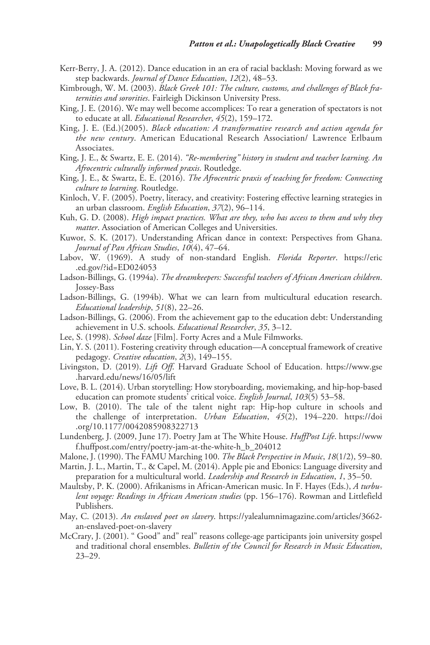- Kerr-Berry, J. A. (2012). Dance education in an era of racial backlash: Moving forward as we step backwards. *Journal of Dance Education*, *12*(2), 48–53.
- Kimbrough, W. M. (2003). *Black Greek 101: The culture, customs, and challenges of Black fraternities and sororities*. Fairleigh Dickinson University Press.
- King, J. E. (2016). We may well become accomplices: To rear a generation of spectators is not to educate at all. *Educational Researcher*, *45*(2), 159–172.
- King, J. E. (Ed.)(2005). *Black education: A transformative research and action agenda for the new century*. American Educational Research Association/ Lawrence Erlbaum Associates.
- King, J. E., & Swartz, E. E. (2014). *"Re-membering" history in student and teacher learning. An Afrocentric culturally informed praxis*. Routledge.
- King, J. E., & Swartz, E. E. (2016). *The Afrocentric praxis of teaching for freedom: Connecting culture to learning*. Routledge.
- Kinloch, V. F. (2005). Poetry, literacy, and creativity: Fostering effective learning strategies in an urban classroom. *English Education*, *37*(2), 96–114.
- Kuh, G. D. (2008). *High impact practices. What are they, who has access to them and why they matter*. Association of American Colleges and Universities.
- Kuwor, S. K. (2017). Understanding African dance in context: Perspectives from Ghana. *Journal of Pan African Studies*, *10*(4), 47–64.
- Labov, W. (1969). A study of non-standard English. *Florida Reporter*. [https://eric](https://eric.ed.gov/?id=ED024053) [.ed.gov/?id=ED024053](https://eric.ed.gov/?id=ED024053)
- Ladson-Billings, G. (1994a). *The dreamkeepers: Successful teachers of African American children*. Jossey-Bass
- Ladson-Billings, G. (1994b). What we can learn from multicultural education research. *Educational leadership*, *51*(8), 22–26.
- Ladson-Billings, G. (2006). From the achievement gap to the education debt: Understanding achievement in U.S. schools. *Educational Researcher*, *35*, 3–12.
- Lee, S. (1998). *School daze* [Film]. Forty Acres and a Mule Filmworks.
- Lin, Y. S. (2011). Fostering creativity through education—A conceptual framework of creative pedagogy. *Creative education*, *2*(3), 149–155.
- Livingston, D. (2019). *Lift Off*. Harvard Graduate School of Education. [https://www.gse](https://www.gse.harvard.edu/news/16/05/lift) [.harvard.edu/news/16/05/lift](https://www.gse.harvard.edu/news/16/05/lift)
- Love, B. L. (2014). Urban storytelling: How storyboarding, moviemaking, and hip-hop-based education can promote students' critical voice. *English Journal*, *103*(5) 53–58.
- Low, B. (2010). The tale of the talent night rap: Hip-hop culture in schools and the challenge of interpretation. *Urban Education*, *45*(2), 194–220. [https://doi](https://doi.org/10.1177/0042085908322713) [.org/10.1177/0042085908322713](https://doi.org/10.1177/0042085908322713)
- Lundenberg, J. (2009, June 17). Poetry Jam at The White House. *HuffPost Life*. [https://www](https://www.huffpost.com/entry/poetry-jam-at-the-white-h_b_204012) [f.huffpost.com/entry/poetry-jam-at-the-white-h\\_b\\_204012](https://www.huffpost.com/entry/poetry-jam-at-the-white-h_b_204012)
- Malone, J. (1990). The FAMU Marching 100. *The Black Perspective in Music*, *18*(1/2), 59–80.
- Martin, J. L., Martin, T., & Capel, M. (2014). Apple pie and Ebonics: Language diversity and preparation for a multicultural world. *Leadership and Research in Education*, *1*, 35–50.
- Maultsby, P. K. (2000). Afrikanisms in African-American music. In F. Hayes (Eds.), *A turbulent voyage: Readings in African American studies* (pp. 156–176). Rowman and Littlefield Publishers.
- May, C. (2013). *An enslaved poet on slavery*. [https://yalealumnimagazine.com/articles/3662](https://yalealumnimagazine.com/articles/3662-an-enslaved-poet-on-slavery) [an-enslaved-poet-on-slavery](https://yalealumnimagazine.com/articles/3662-an-enslaved-poet-on-slavery)
- McCrary, J. (2001). " Good" and" real" reasons college-age participants join university gospel and traditional choral ensembles. *Bulletin of the Council for Research in Music Education*, 23–29.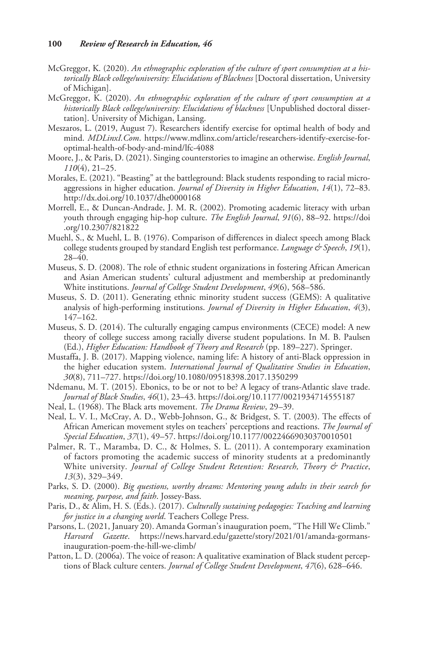- McGreggor, K. (2020). *An ethnographic exploration of the culture of sport consumption at a historically Black college/university: Elucidations of Blackness* [Doctoral dissertation, University of Michigan].
- McGreggor, K. (2020). *An ethnographic exploration of the culture of sport consumption at a historically Black college/university: Elucidations of blackness* [Unpublished doctoral dissertation]. University of Michigan, Lansing.
- Meszaros, L. (2019, August 7). Researchers identify exercise for optimal health of body and mind. *MDLinxI.Com*. [https://www.mdlinx.com/article/researchers-identify-exercise-for](https://www.mdlinx.com/article/researchers-identify-exercise-for-optimal-health-of-body-and-mind/lfc-4088)[optimal-health-of-body-and-mind/lfc-4088](https://www.mdlinx.com/article/researchers-identify-exercise-for-optimal-health-of-body-and-mind/lfc-4088)
- Moore, J., & Paris, D. (2021). Singing counterstories to imagine an otherwise. *English Journal*, *110*(4), 21–25.
- Morales, E. (2021). "Beasting" at the battleground: Black students responding to racial microaggressions in higher education. *Journal of Diversity in Higher Education*, *14*(1), 72–83. <http://dx.doi.org/10.1037/dhe0000168>
- Morrell, E., & Duncan-Andrade, J. M. R. (2002). Promoting academic literacy with urban youth through engaging hip-hop culture. *The English Journal*, *91*(6), 88–92. [https://doi](https://doi.org/10.2307/821822) [.org/10.2307/821822](https://doi.org/10.2307/821822)
- Muehl, S., & Muehl, L. B. (1976). Comparison of differences in dialect speech among Black college students grouped by standard English test performance. *Language & Speech*, *19*(1), 28–40.
- Museus, S. D. (2008). The role of ethnic student organizations in fostering African American and Asian American students' cultural adjustment and membership at predominantly White institutions. *Journal of College Student Development*, *49*(6), 568–586.
- Museus, S. D. (2011). Generating ethnic minority student success (GEMS): A qualitative analysis of high-performing institutions. *Journal of Diversity in Higher Education*, *4*(3), 147–162.
- Museus, S. D. (2014). The culturally engaging campus environments (CECE) model: A new theory of college success among racially diverse student populations. In M. B. Paulsen (Ed.), *Higher Education: Handbook of Theory and Research* (pp. 189–227). Springer.
- Mustaffa, J. B. (2017). Mapping violence, naming life: A history of anti-Black oppression in the higher education system. *International Journal of Qualitative Studies in Education*, *30*(8), 711–727. <https://doi.org/10.1080/09518398.2017.1350299>
- Ndemanu, M. T. (2015). Ebonics, to be or not to be? A legacy of trans-Atlantic slave trade. *Journal of Black Studies*, *46*(1), 23–43. <https://doi.org/10.1177/0021934714555187>
- Neal, L. (1968). The Black arts movement. *The Drama Review*, 29–39.
- Neal, L. V. I., McCray, A. D., Webb-Johnson, G., & Bridgest, S. T. (2003). The effects of African American movement styles on teachers' perceptions and reactions. *The Journal of Special Education*, *37*(1), 49–57. <https://doi.org/10.1177/00224669030370010501>
- Palmer, R. T., Maramba, D. C., & Holmes, S. L. (2011). A contemporary examination of factors promoting the academic success of minority students at a predominantly White university. *Journal of College Student Retention: Research, Theory & Practice*, *13*(3), 329–349.
- Parks, S. D. (2000). *Big questions, worthy dreams: Mentoring young adults in their search for meaning, purpose, and faith*. Jossey-Bass.
- Paris, D., & Alim, H. S. (Eds.). (2017). *Culturally sustaining pedagogies: Teaching and learning for justice in a changing world*. Teachers College Press.
- Parsons, L. (2021, January 20). Amanda Gorman's inauguration poem, "The Hill We Climb." *Harvard Gazette*. [https://news.harvard.edu/gazette/story/2021/01/amanda-gormans](https://news.harvard.edu/gazette/story/2021/01/amanda-gormans-inauguration-poem-the-hill-we-climb/)[inauguration-poem-the-hill-we-climb/](https://news.harvard.edu/gazette/story/2021/01/amanda-gormans-inauguration-poem-the-hill-we-climb/)
- Patton, L. D. (2006a). The voice of reason: A qualitative examination of Black student perceptions of Black culture centers. *Journal of College Student Development*, *47*(6), 628–646.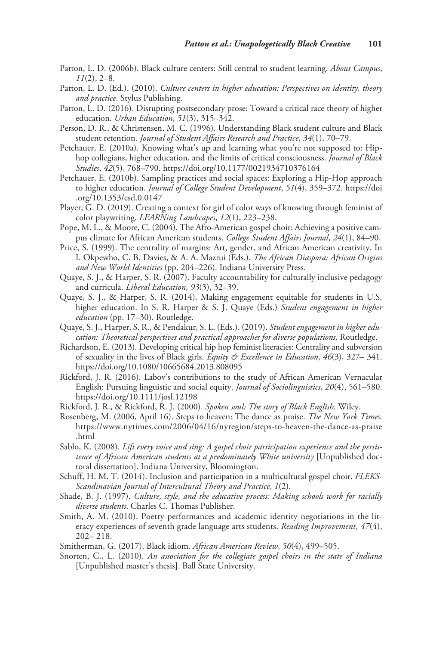- Patton, L. D. (2006b). Black culture centers: Still central to student learning. *About Campus*, *11*(2), 2–8.
- Patton, L. D. (Ed.). (2010). *Culture centers in higher education: Perspectives on identity, theory and practice*. Stylus Publishing.
- Patton, L. D. (2016). Disrupting postsecondary prose: Toward a critical race theory of higher education. *Urban Education*, *51*(3), 315–342.
- Person, D. R., & Christensen, M. C. (1996). Understanding Black student culture and Black student retention. *Journal of Student Affairs Research and Practice*, *34*(1), 70–79.
- Petchauer, E. (2010a). Knowing what's up and learning what you're not supposed to: Hiphop collegians, higher education, and the limits of critical consciousness. *Journal of Black Studies*, *42*(5), 768–790. <https://doi.org/10.1177/0021934710376164>
- Petchauer, E. (2010b). Sampling practices and social spaces: Exploring a Hip-Hop approach to higher education. *Journal of College Student Development*, *51*(4), 359–372. [https://doi](https://doi.org/10.1353/csd.0.0147) [.org/10.1353/csd.0.0147](https://doi.org/10.1353/csd.0.0147)
- Player, G. D. (2019). Creating a context for girl of color ways of knowing through feminist of color playwriting. *LEARNing Landscapes*, *12*(1), 223–238.
- Pope, M. L., & Moore, C. (2004). The Afro-American gospel choir: Achieving a positive campus climate for African American students. *College Student Affairs Journal*, *24*(1), 84–90.
- Price, S. (1999). The centrality of margins: Art, gender, and African American creativity. In I. Okpewho, C. B. Davies, & A. A. Mazrui (Eds.), *The African Diaspora: African Origins and New World Identities* (pp. 204–226). Indiana University Press.
- Quaye, S. J., & Harper, S. R. (2007). Faculty accountability for culturally inclusive pedagogy and curricula. *Liberal Education*, *93*(3), 32–39.
- Quaye, S. J., & Harper, S. R. (2014). Making engagement equitable for students in U.S. higher education. In S. R. Harper & S. J. Quaye (Eds.) *Student engagement in higher education* (pp. 17–30). Routledge.
- Quaye, S. J., Harper, S. R., & Pendakur, S. L. (Eds.). (2019). *Student engagement in higher education: Theoretical perspectives and practical approaches for diverse populations*. Routledge.
- Richardson, E. (2013). Developing critical hip hop feminist literacies: Centrality and subversion of sexuality in the lives of Black girls. *Equity & Excellence in Education*, *46*(3), 327– 341. <https://doi.org/10.1080/10665684.2013.808095>
- Rickford, J. R. (2016). Labov's contributions to the study of African American Vernacular English: Pursuing linguistic and social equity. *Journal of Sociolinguistics*, *20*(4), 561–580. <https://doi.org/10.1111/josl.12198>
- Rickford, J. R., & Rickford, R. J. (2000). *Spoken soul: The story of Black English*. Wiley.
- Rosenberg, M. (2006, April 16). Steps to heaven: The dance as praise. *The New York Times*. [https://www.nytimes.com/2006/04/16/nyregion/steps-to-heaven-the-dance-as-praise](https://www.nytimes.com/2006/04/16/nyregion/steps-to-heaven-the-dance-as-praise.html) [.html](https://www.nytimes.com/2006/04/16/nyregion/steps-to-heaven-the-dance-as-praise.html)
- Sablo, K. (2008). *Lift every voice and sing: A gospel choir participation experience and the persistence of African American students at a predominately White university* [Unpublished doctoral dissertation]. Indiana University, Bloomington.
- Schuff, H. M. T. (2014). Inclusion and participation in a multicultural gospel choir. *FLEKS-Scandinavian Journal of Intercultural Theory and Practice*, *1*(2).
- Shade, B. J. (1997). *Culture, style, and the educative process: Making schools work for racially diverse students*. Charles C. Thomas Publisher.
- Smith, A. M. (2010). Poetry performances and academic identity negotiations in the literacy experiences of seventh grade language arts students. *Reading Improvement*, *47*(4), 202– 218.
- Smitherman, G. (2017). Black idiom. *African American Review*, *50*(4), 499–505.
- Snorten, C., L. (2010). *An association for the collegiate gospel choirs in the state of Indiana* [Unpublished master's thesis]. Ball State University.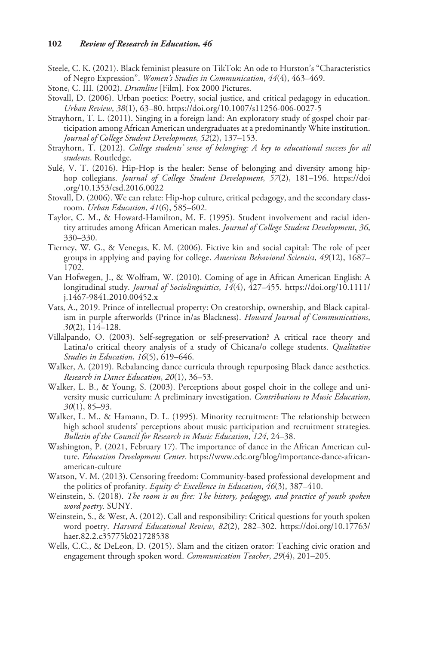- Steele, C. K. (2021). Black feminist pleasure on TikTok: An ode to Hurston's "Characteristics of Negro Expression". *Women's Studies in Communication*, *44*(4), 463–469.
- Stone, C. III. (2002). *Drumline* [Film]. Fox 2000 Pictures.
- Stovall, D. (2006). Urban poetics: Poetry, social justice, and critical pedagogy in education. *Urban Review*, *38*(1), 63–80. <https://doi.org/10.1007/s11256-006-0027-5>
- Strayhorn, T. L. (2011). Singing in a foreign land: An exploratory study of gospel choir participation among African American undergraduates at a predominantly White institution. *Journal of College Student Development*, *52*(2), 137–153.
- Strayhorn, T. (2012). *College students' sense of belonging: A key to educational success for all students*. Routledge.
- Sulé, V. T. (2016). Hip-Hop is the healer: Sense of belonging and diversity among hiphop collegians. *Journal of College Student Development*, *57*(2), 181–196. [https://doi](https://doi.org/10.1353/csd.2016.0022) [.org/10.1353/csd.2016.0022](https://doi.org/10.1353/csd.2016.0022)
- Stovall, D. (2006). We can relate: Hip-hop culture, critical pedagogy, and the secondary classroom. *Urban Education*, *41*(6), 585–602.
- Taylor, C. M., & Howard-Hamilton, M. F. (1995). Student involvement and racial identity attitudes among African American males. *Journal of College Student Development*, *36*, 330–330.
- Tierney, W. G., & Venegas, K. M. (2006). Fictive kin and social capital: The role of peer groups in applying and paying for college. *American Behavioral Scientist*, *49*(12), 1687– 1702.
- Van Hofwegen, J., & Wolfram, W. (2010). Coming of age in African American English: A longitudinal study. *Journal of Sociolinguistics*, *14*(4), 427–455. [https://doi.org/10.1111/](https://doi.org/10.1111/j.1467-9841.2010.00452.x) [j.1467-9841.2010.00452.x](https://doi.org/10.1111/j.1467-9841.2010.00452.x)
- Vats, A., 2019. Prince of intellectual property: On creatorship, ownership, and Black capitalism in purple afterworlds (Prince in/as Blackness). *Howard Journal of Communications*, *30*(2), 114–128.
- Villalpando, O. (2003). Self-segregation or self-preservation? A critical race theory and Latina/o critical theory analysis of a study of Chicana/o college students. *Qualitative Studies in Education*, *16*(5), 619–646.
- Walker, A. (2019). Rebalancing dance curricula through repurposing Black dance aesthetics. *Research in Dance Education*, *20*(1), 36–53.
- Walker, L. B., & Young, S. (2003). Perceptions about gospel choir in the college and university music curriculum: A preliminary investigation. *Contributions to Music Education*, *30*(1), 85–93.
- Walker, L. M., & Hamann, D. L. (1995). Minority recruitment: The relationship between high school students' perceptions about music participation and recruitment strategies. *Bulletin of the Council for Research in Music Education*, *124*, 24–38.
- Washington, P. (2021, February 17). The importance of dance in the African American culture. *Education Development Center*. [https://www.edc.org/blog/importance-dance-african](https://www.edc.org/blog/importance-dance-african-american-culture)[american-culture](https://www.edc.org/blog/importance-dance-african-american-culture)
- Watson, V. M. (2013). Censoring freedom: Community-based professional development and the politics of profanity. *Equity & Excellence in Education*, *46*(3), 387–410.
- Weinstein, S. (2018). *The room is on fire: The history, pedagogy, and practice of youth spoken word poetry*. SUNY.
- Weinstein, S., & West, A. (2012). Call and responsibility: Critical questions for youth spoken word poetry. *Harvard Educational Review*, *82*(2), 282–302. [https://doi.org/10.17763/](https://doi.org/10.17763/haer.82.2.c35775k021728538) [haer.82.2.c35775k021728538](https://doi.org/10.17763/haer.82.2.c35775k021728538)
- Wells, C.C., & DeLeon, D. (2015). Slam and the citizen orator: Teaching civic oration and engagement through spoken word. *Communication Teacher*, *29*(4), 201–205.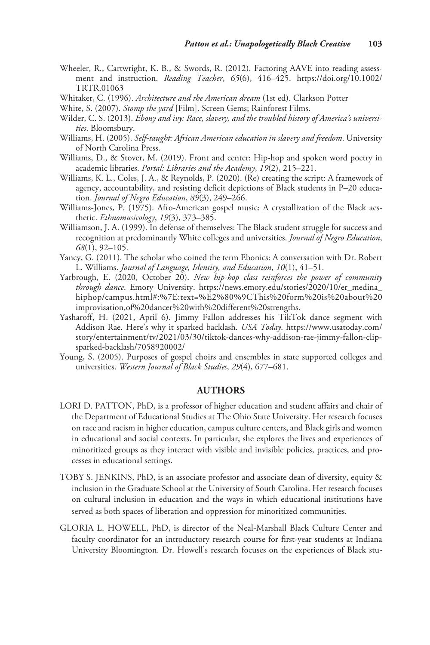- Wheeler, R., Cartwright, K. B., & Swords, R. (2012). Factoring AAVE into reading assessment and instruction. *Reading Teacher*, *65*(6), 416–425. [https://doi.org/10.1002/](https://doi.org/10.1002/TRTR.01063) [TRTR.01063](https://doi.org/10.1002/TRTR.01063)
- Whitaker, C. (1996). *Architecture and the American dream* (1st ed). Clarkson Potter
- White, S. (2007). *Stomp the yard* [Film]. Screen Gems; Rainforest Films.
- Wilder, C. S. (2013). *Ebony and ivy: Race, slavery, and the troubled history of America's universities*. Bloomsbury.
- Williams, H. (2005). *Self-taught: African American education in slavery and freedom*. University of North Carolina Press.
- Williams, D., & Stover, M. (2019). Front and center: Hip-hop and spoken word poetry in academic libraries. *Portal: Libraries and the Academy*, *19*(2), 215–221.
- Williams, K. L., Coles, J. A., & Reynolds, P. (2020). (Re) creating the script: A framework of agency, accountability, and resisting deficit depictions of Black students in P–20 education. *Journal of Negro Education*, *89*(3), 249–266.
- Williams-Jones, P. (1975). Afro-American gospel music: A crystallization of the Black aesthetic. *Ethnomusicology*, *19*(3), 373–385.
- Williamson, J. A. (1999). In defense of themselves: The Black student struggle for success and recognition at predominantly White colleges and universities. *Journal of Negro Education*, *68*(1), 92–105.
- Yancy, G. (2011). The scholar who coined the term Ebonics: A conversation with Dr. Robert L. Williams. *Journal of Language, Identity, and Education*, *10*(1), 41–51.
- Yarbrough, E. (2020, October 20). *New hip-hop class reinforces the power of community through dance*. Emory University. [https://news.emory.edu/stories/2020/10/er\\_medina\\_](https://news.emory.edu/stories/2020/10/er_medina_hiphop/campus.html#:%7E:text=%E2%80%9CThis%20form%20is%20about%20improvisation,of%20dancer%20with%20different%20strengths) [hiphop/campus.html#:%7E:text=%E2%80%9CThis%20form%20is%20about%20](https://news.emory.edu/stories/2020/10/er_medina_hiphop/campus.html#:%7E:text=%E2%80%9CThis%20form%20is%20about%20improvisation,of%20dancer%20with%20different%20strengths) [improvisation,of%20dancer%20with%20different%20strengths.](https://news.emory.edu/stories/2020/10/er_medina_hiphop/campus.html#:%7E:text=%E2%80%9CThis%20form%20is%20about%20improvisation,of%20dancer%20with%20different%20strengths)
- Yasharoff, H. (2021, April 6). Jimmy Fallon addresses his TikTok dance segment with Addison Rae. Here's why it sparked backlash. *USA Today*. [https://www.usatoday.com/](https://www.usatoday.com/story/entertainment/tv/2021/03/30/tiktok-dances-why-addison-rae-jimmy-fallon-clip-sparked-backlash/7058920002/) [story/entertainment/tv/2021/03/30/tiktok-dances-why-addison-rae-jimmy-fallon-clip](https://www.usatoday.com/story/entertainment/tv/2021/03/30/tiktok-dances-why-addison-rae-jimmy-fallon-clip-sparked-backlash/7058920002/)[sparked-backlash/7058920002/](https://www.usatoday.com/story/entertainment/tv/2021/03/30/tiktok-dances-why-addison-rae-jimmy-fallon-clip-sparked-backlash/7058920002/)
- Young, S. (2005). Purposes of gospel choirs and ensembles in state supported colleges and universities. *Western Journal of Black Studies*, *29*(4), 677–681.

## **Authors**

- LORI D. PATTON, PhD, is a professor of higher education and student affairs and chair of the Department of Educational Studies at The Ohio State University. Her research focuses on race and racism in higher education, campus culture centers, and Black girls and women in educational and social contexts. In particular, she explores the lives and experiences of minoritized groups as they interact with visible and invisible policies, practices, and processes in educational settings.
- TOBY S. JENKINS, PhD, is an associate professor and associate dean of diversity, equity & inclusion in the Graduate School at the University of South Carolina. Her research focuses on cultural inclusion in education and the ways in which educational institutions have served as both spaces of liberation and oppression for minoritized communities.
- Gloria L. Howell, PhD, is director of the Neal-Marshall Black Culture Center and faculty coordinator for an introductory research course for first-year students at Indiana University Bloomington. Dr. Howell's research focuses on the experiences of Black stu-